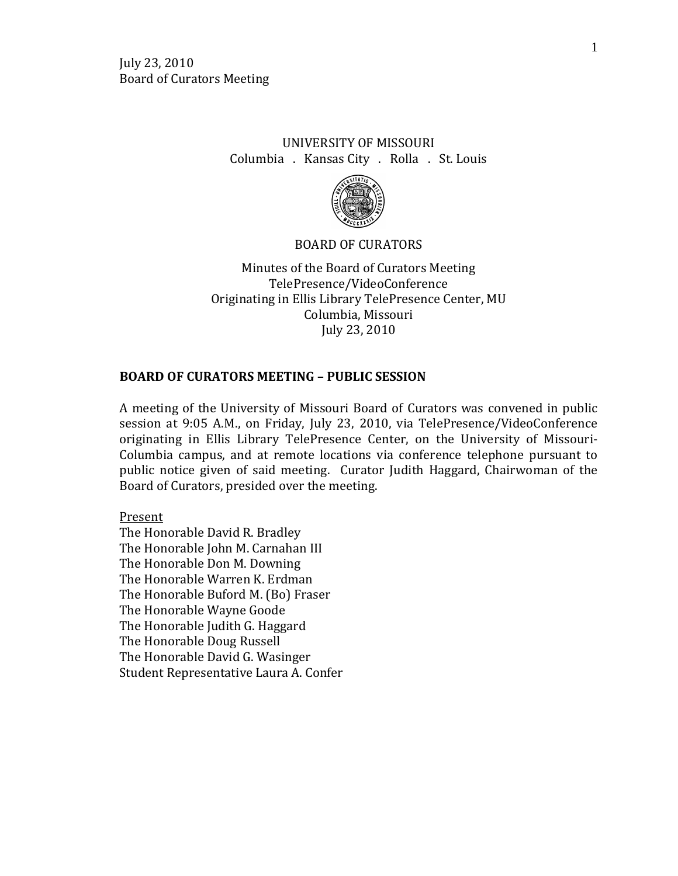# UNIVERSITY OF MISSOURI Columbia . Kansas City . Rolla . St. Louis



## BOARD OF CURATORS

Minutes of the Board of Curators Meeting TelePresence/VideoConference Originating in Ellis Library TelePresence Center, MU Columbia, Missouri July 23, 2010

## **BOARD OF CURATORS MEETING – PUBLIC SESSION**

A meeting of the University of Missouri Board of Curators was convened in public session at 9:05 A.M., on Friday, July 23, 2010, via TelePresence/VideoConference originating in Ellis Library TelePresence Center, on the University of Missouri-Columbia campus, and at remote locations via conference telephone pursuant to public notice given of said meeting. Curator Judith Haggard, Chairwoman of the Board of Curators, presided over the meeting.

Present

The Honorable David R. Bradley The Honorable John M. Carnahan III The Honorable Don M. Downing The Honorable Warren K. Erdman The Honorable Buford M. (Bo) Fraser The Honorable Wayne Goode The Honorable Judith G. Haggard The Honorable Doug Russell The Honorable David G. Wasinger Student Representative Laura A. Confer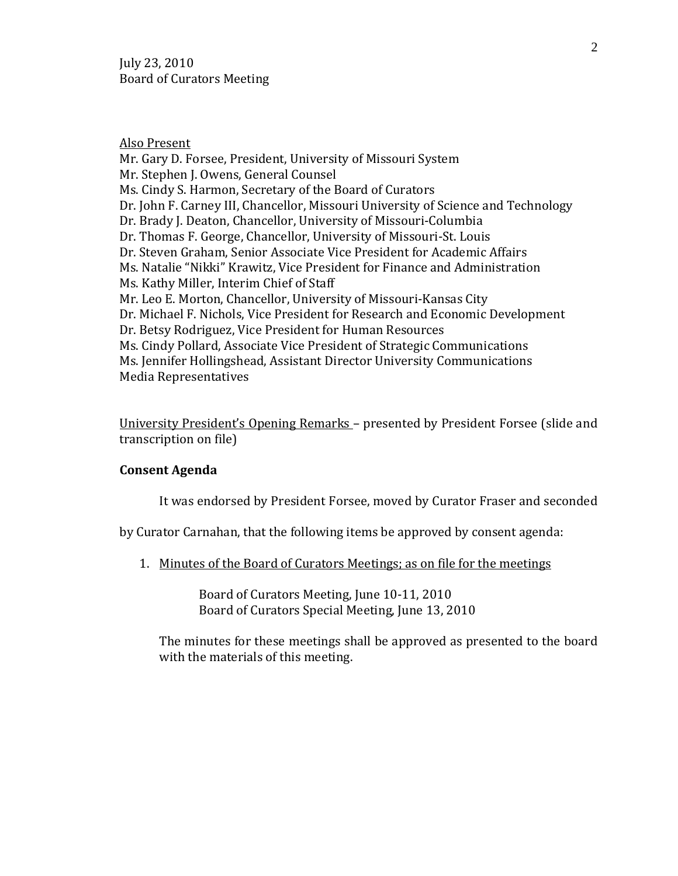July 23, 2010 Board of Curators Meeting

Also Present Mr. Gary D. Forsee, President, University of Missouri System Mr. Stephen J. Owens, General Counsel Ms. Cindy S. Harmon, Secretary of the Board of Curators Dr. John F. Carney III, Chancellor, Missouri University of Science and Technology Dr. Brady J. Deaton, Chancellor, University of Missouri-Columbia Dr. Thomas F. George, Chancellor, University of Missouri-St. Louis Dr. Steven Graham, Senior Associate Vice President for Academic Affairs Ms. Natalie "Nikki" Krawitz, Vice President for Finance and Administration Ms. Kathy Miller, Interim Chief of Staff Mr. Leo E. Morton, Chancellor, University of Missouri-Kansas City Dr. Michael F. Nichols, Vice President for Research and Economic Development Dr. Betsy Rodriguez, Vice President for Human Resources Ms. Cindy Pollard, Associate Vice President of Strategic Communications Ms. Jennifer Hollingshead, Assistant Director University Communications Media Representatives

University President's Opening Remarks – presented by President Forsee (slide and transcription on file)

## **Consent Agenda**

It was endorsed by President Forsee, moved by Curator Fraser and seconded

by Curator Carnahan, that the following items be approved by consent agenda:

1. Minutes of the Board of Curators Meetings; as on file for the meetings

Board of Curators Meeting, June 10-11, 2010 Board of Curators Special Meeting, June 13, 2010

The minutes for these meetings shall be approved as presented to the board with the materials of this meeting.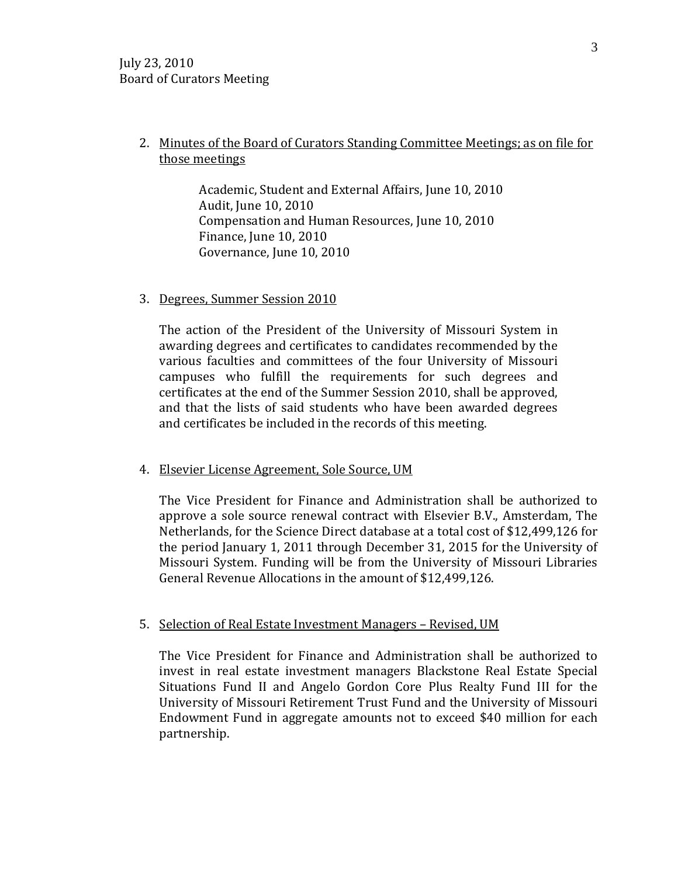# 2. Minutes of the Board of Curators Standing Committee Meetings; as on file for those meetings

Academic, Student and External Affairs, June 10, 2010 Audit, June 10, 2010 Compensation and Human Resources, June 10, 2010 Finance, June 10, 2010 Governance, June 10, 2010

## 3. Degrees, Summer Session 2010

The action of the President of the University of Missouri System in awarding degrees and certificates to candidates recommended by the various faculties and committees of the four University of Missouri campuses who fulfill the requirements for such degrees and certificates at the end of the Summer Session 2010, shall be approved, and that the lists of said students who have been awarded degrees and certificates be included in the records of this meeting.

#### 4. Elsevier License Agreement, Sole Source, UM

The Vice President for Finance and Administration shall be authorized to approve a sole source renewal contract with Elsevier B.V., Amsterdam, The Netherlands, for the Science Direct database at a total cost of \$12,499,126 for the period January 1, 2011 through December 31, 2015 for the University of Missouri System. Funding will be from the University of Missouri Libraries General Revenue Allocations in the amount of \$12,499,126.

## 5. Selection of Real Estate Investment Managers – Revised, UM

The Vice President for Finance and Administration shall be authorized to invest in real estate investment managers Blackstone Real Estate Special Situations Fund II and Angelo Gordon Core Plus Realty Fund III for the University of Missouri Retirement Trust Fund and the University of Missouri Endowment Fund in aggregate amounts not to exceed \$40 million for each partnership.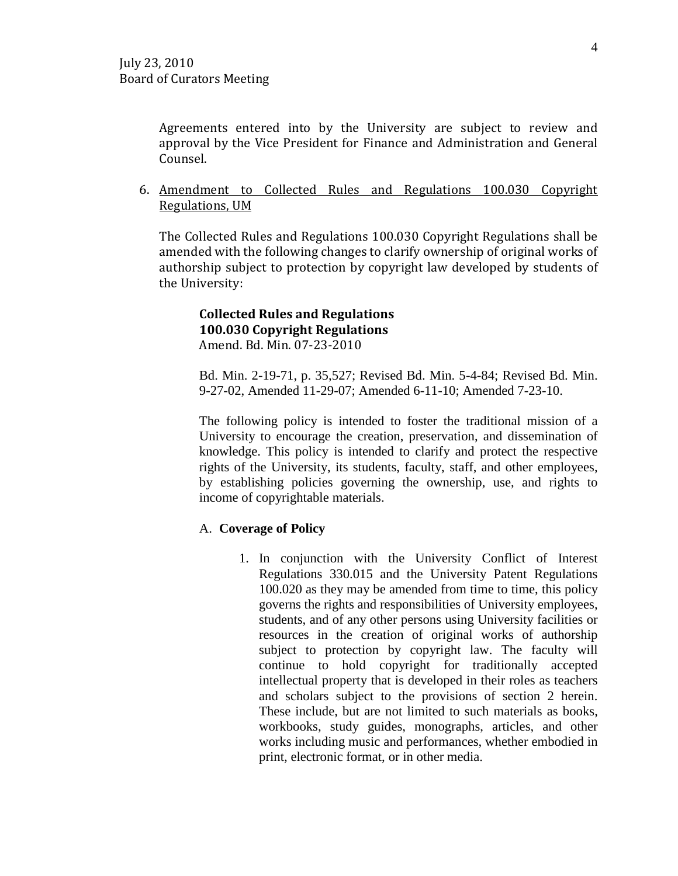Agreements entered into by the University are subject to review and approval by the Vice President for Finance and Administration and General Counsel.

6. Amendment to Collected Rules and Regulations 100.030 Copyright Regulations, UM

The Collected Rules and Regulations 100.030 Copyright Regulations shall be amended with the following changes to clarify ownership of original works of authorship subject to protection by copyright law developed by students of the University:

#### **Collected Rules and Regulations 100.030 Copyright Regulations** Amend. Bd. Min. 07-23-2010

Bd. Min. 2-19-71, p. 35,527; Revised Bd. Min. 5-4-84; Revised Bd. Min. 9-27-02, Amended 11-29-07; Amended 6-11-10; Amended 7-23-10.

The following policy is intended to foster the traditional mission of a University to encourage the creation, preservation, and dissemination of knowledge. This policy is intended to clarify and protect the respective rights of the University, its students, faculty, staff, and other employees, by establishing policies governing the ownership, use, and rights to income of copyrightable materials.

## A. **Coverage of Policy**

1. In conjunction with the University Conflict of Interest Regulations 330.015 and the University Patent Regulations 100.020 as they may be amended from time to time, this policy governs the rights and responsibilities of University employees, students, and of any other persons using University facilities or resources in the creation of original works of authorship subject to protection by copyright law. The faculty will continue to hold copyright for traditionally accepted intellectual property that is developed in their roles as teachers and scholars subject to the provisions of section 2 herein. These include, but are not limited to such materials as books, workbooks, study guides, monographs, articles, and other works including music and performances, whether embodied in print, electronic format, or in other media.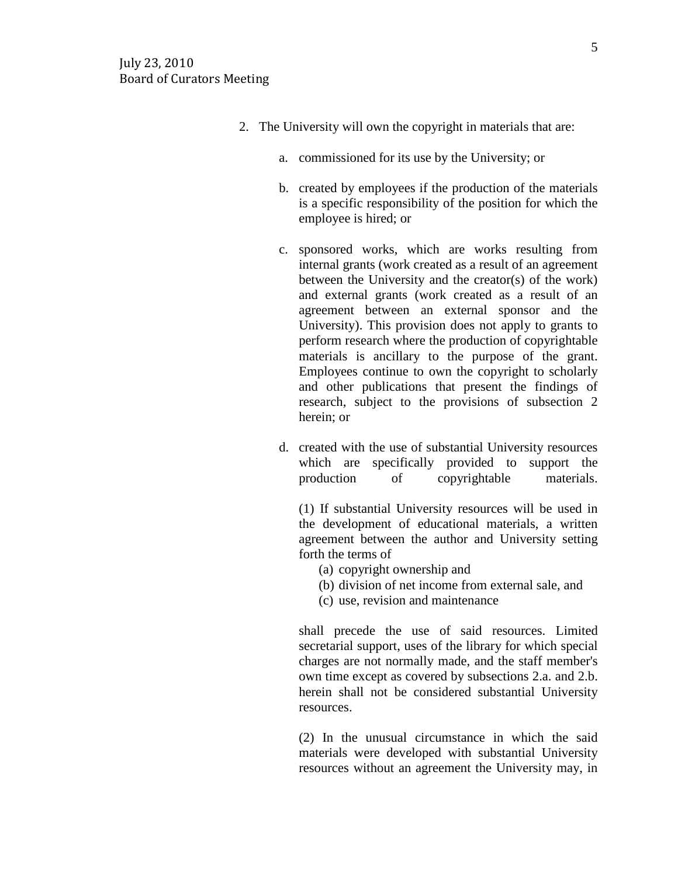- 2. The University will own the copyright in materials that are:
	- a. commissioned for its use by the University; or
	- b. created by employees if the production of the materials is a specific responsibility of the position for which the employee is hired; or
	- c. sponsored works, which are works resulting from internal grants (work created as a result of an agreement between the University and the creator(s) of the work) and external grants (work created as a result of an agreement between an external sponsor and the University). This provision does not apply to grants to perform research where the production of copyrightable materials is ancillary to the purpose of the grant. Employees continue to own the copyright to scholarly and other publications that present the findings of research, subject to the provisions of subsection 2 herein; or
	- d. created with the use of substantial University resources which are specifically provided to support the production of copyrightable materials.

(1) If substantial University resources will be used in the development of educational materials, a written agreement between the author and University setting forth the terms of

- (a) copyright ownership and
- (b) division of net income from external sale, and
- (c) use, revision and maintenance

shall precede the use of said resources. Limited secretarial support, uses of the library for which special charges are not normally made, and the staff member's own time except as covered by subsections 2.a. and 2.b. herein shall not be considered substantial University resources.

(2) In the unusual circumstance in which the said materials were developed with substantial University resources without an agreement the University may, in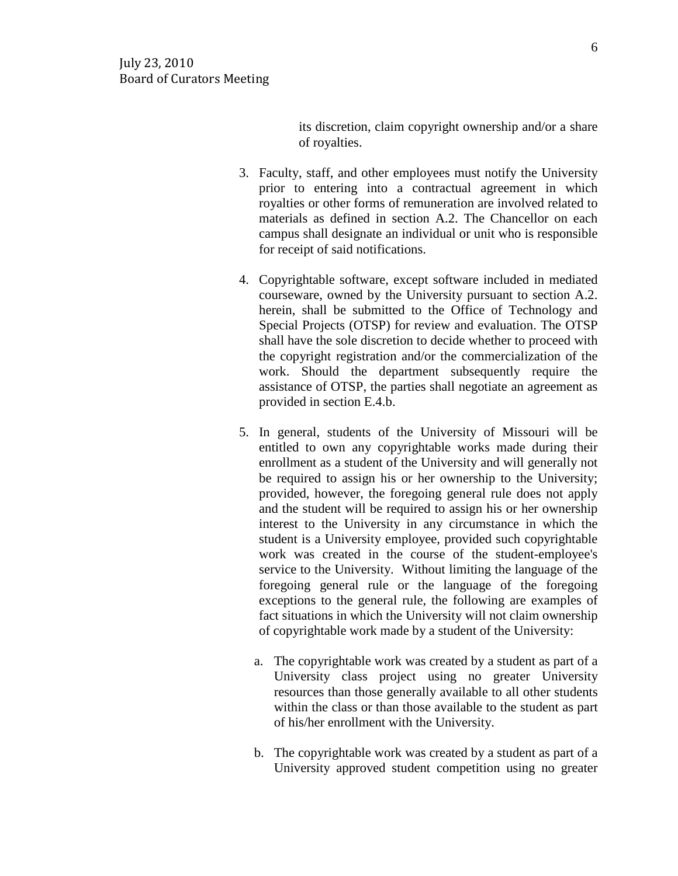its discretion, claim copyright ownership and/or a share of royalties.

- 3. Faculty, staff, and other employees must notify the University prior to entering into a contractual agreement in which royalties or other forms of remuneration are involved related to materials as defined in section A.2. The Chancellor on each campus shall designate an individual or unit who is responsible for receipt of said notifications.
- 4. Copyrightable software, except software included in mediated courseware, owned by the University pursuant to section A.2. herein, shall be submitted to the Office of Technology and Special Projects (OTSP) for review and evaluation. The OTSP shall have the sole discretion to decide whether to proceed with the copyright registration and/or the commercialization of the work. Should the department subsequently require the assistance of OTSP, the parties shall negotiate an agreement as provided in section E.4.b.
- 5. In general, students of the University of Missouri will be entitled to own any copyrightable works made during their enrollment as a student of the University and will generally not be required to assign his or her ownership to the University; provided, however, the foregoing general rule does not apply and the student will be required to assign his or her ownership interest to the University in any circumstance in which the student is a University employee, provided such copyrightable work was created in the course of the student-employee's service to the University. Without limiting the language of the foregoing general rule or the language of the foregoing exceptions to the general rule, the following are examples of fact situations in which the University will not claim ownership of copyrightable work made by a student of the University:
	- a. The copyrightable work was created by a student as part of a University class project using no greater University resources than those generally available to all other students within the class or than those available to the student as part of his/her enrollment with the University.
	- b. The copyrightable work was created by a student as part of a University approved student competition using no greater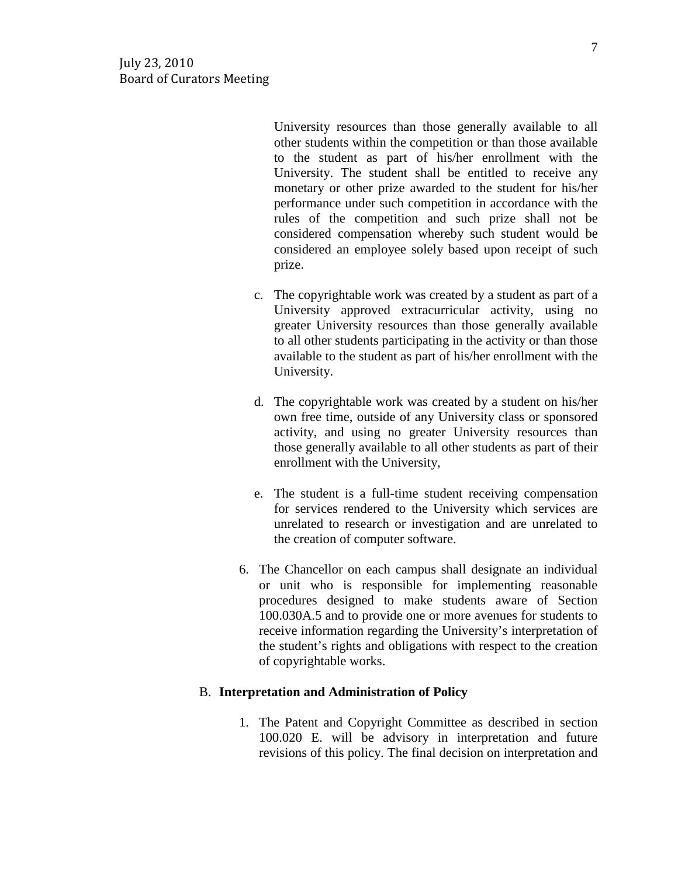University resources than those generally available to all other students within the competition or than those available to the student as part of his/her enrollment with the University. The student shall be entitled to receive any monetary or other prize awarded to the student for his/her performance under such competition in accordance with the rules of the competition and such prize shall not be considered compensation whereby such student would be considered an employee solely based upon receipt of such prize.

- c. The copyrightable work was created by a student as part of a University approved extracurricular activity, using no greater University resources than those generally available to all other students participating in the activity or than those available to the student as part of his/her enrollment with the University.
- d. The copyrightable work was created by a student on his/her own free time, outside of any University class or sponsored activity, and using no greater University resources than those generally available to all other students as part of their enrollment with the University,
- e. The student is a full-time student receiving compensation for services rendered to the University which services are unrelated to research or investigation and are unrelated to the creation of computer software.
- 6. The Chancellor on each campus shall designate an individual or unit who is responsible for implementing reasonable procedures designed to make students aware of Section 100.030A.5 and to provide one or more avenues for students to receive information regarding the University's interpretation of the student's rights and obligations with respect to the creation of copyrightable works.

## B. **Interpretation and Administration of Policy**

1. The Patent and Copyright Committee as described in section 100.020 E. will be advisory in interpretation and future revisions of this policy. The final decision on interpretation and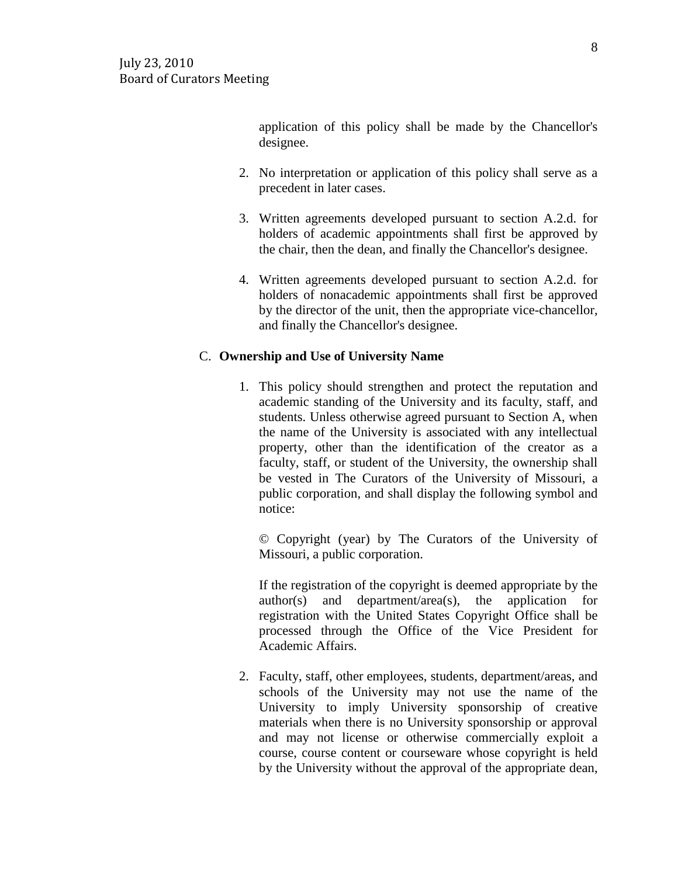application of this policy shall be made by the Chancellor's designee.

- 2. No interpretation or application of this policy shall serve as a precedent in later cases.
- 3. Written agreements developed pursuant to section A.2.d. for holders of academic appointments shall first be approved by the chair, then the dean, and finally the Chancellor's designee.
- 4. Written agreements developed pursuant to section A.2.d. for holders of nonacademic appointments shall first be approved by the director of the unit, then the appropriate vice-chancellor, and finally the Chancellor's designee.

## C. **Ownership and Use of University Name**

1. This policy should strengthen and protect the reputation and academic standing of the University and its faculty, staff, and students. Unless otherwise agreed pursuant to Section A, when the name of the University is associated with any intellectual property, other than the identification of the creator as a faculty, staff, or student of the University, the ownership shall be vested in The Curators of the University of Missouri, a public corporation, and shall display the following symbol and notice:

© Copyright (year) by The Curators of the University of Missouri, a public corporation.

If the registration of the copyright is deemed appropriate by the author(s) and department/area(s), the application for registration with the United States Copyright Office shall be processed through the Office of the Vice President for Academic Affairs.

2. Faculty, staff, other employees, students, department/areas, and schools of the University may not use the name of the University to imply University sponsorship of creative materials when there is no University sponsorship or approval and may not license or otherwise commercially exploit a course, course content or courseware whose copyright is held by the University without the approval of the appropriate dean,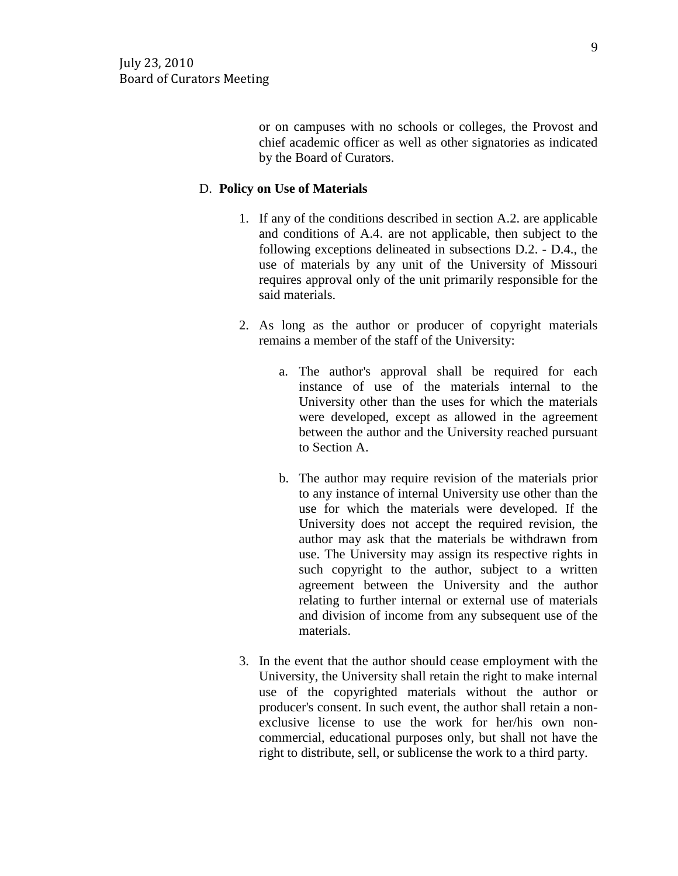or on campuses with no schools or colleges, the Provost and chief academic officer as well as other signatories as indicated by the Board of Curators.

## D. **Policy on Use of Materials**

- 1. If any of the conditions described in section A.2. are applicable and conditions of A.4. are not applicable, then subject to the following exceptions delineated in subsections D.2. - D.4., the use of materials by any unit of the University of Missouri requires approval only of the unit primarily responsible for the said materials.
- 2. As long as the author or producer of copyright materials remains a member of the staff of the University:
	- a. The author's approval shall be required for each instance of use of the materials internal to the University other than the uses for which the materials were developed, except as allowed in the agreement between the author and the University reached pursuant to Section A.
	- b. The author may require revision of the materials prior to any instance of internal University use other than the use for which the materials were developed. If the University does not accept the required revision, the author may ask that the materials be withdrawn from use. The University may assign its respective rights in such copyright to the author, subject to a written agreement between the University and the author relating to further internal or external use of materials and division of income from any subsequent use of the materials.
- 3. In the event that the author should cease employment with the University, the University shall retain the right to make internal use of the copyrighted materials without the author or producer's consent. In such event, the author shall retain a nonexclusive license to use the work for her/his own noncommercial, educational purposes only, but shall not have the right to distribute, sell, or sublicense the work to a third party.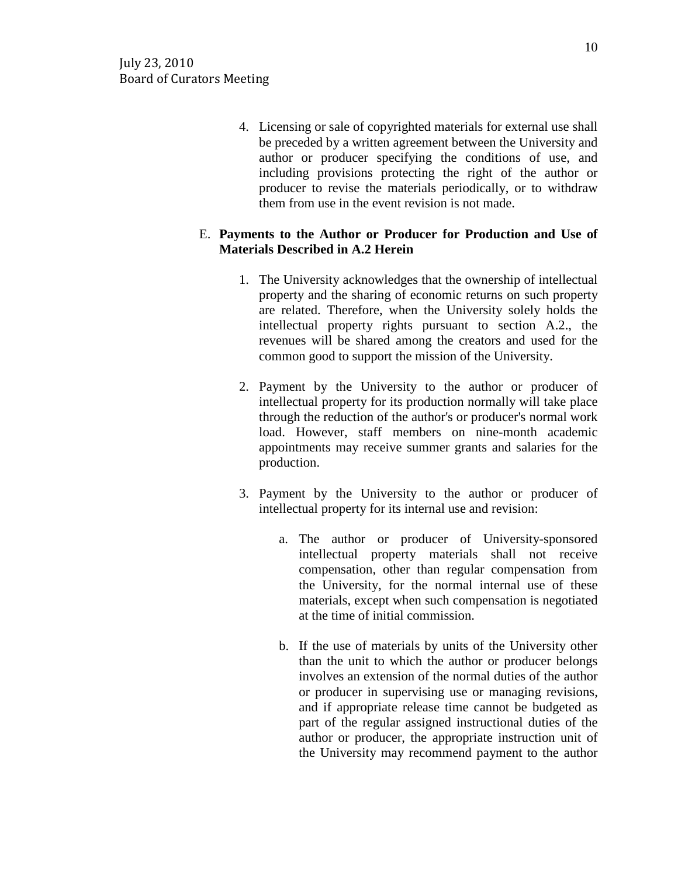4. Licensing or sale of copyrighted materials for external use shall be preceded by a written agreement between the University and author or producer specifying the conditions of use, and including provisions protecting the right of the author or producer to revise the materials periodically, or to withdraw them from use in the event revision is not made.

## E. **Payments to the Author or Producer for Production and Use of Materials Described in A.2 Herein**

- 1. The University acknowledges that the ownership of intellectual property and the sharing of economic returns on such property are related. Therefore, when the University solely holds the intellectual property rights pursuant to section A.2., the revenues will be shared among the creators and used for the common good to support the mission of the University.
- 2. Payment by the University to the author or producer of intellectual property for its production normally will take place through the reduction of the author's or producer's normal work load. However, staff members on nine-month academic appointments may receive summer grants and salaries for the production.
- 3. Payment by the University to the author or producer of intellectual property for its internal use and revision:
	- a. The author or producer of University-sponsored intellectual property materials shall not receive compensation, other than regular compensation from the University, for the normal internal use of these materials, except when such compensation is negotiated at the time of initial commission.
	- b. If the use of materials by units of the University other than the unit to which the author or producer belongs involves an extension of the normal duties of the author or producer in supervising use or managing revisions, and if appropriate release time cannot be budgeted as part of the regular assigned instructional duties of the author or producer, the appropriate instruction unit of the University may recommend payment to the author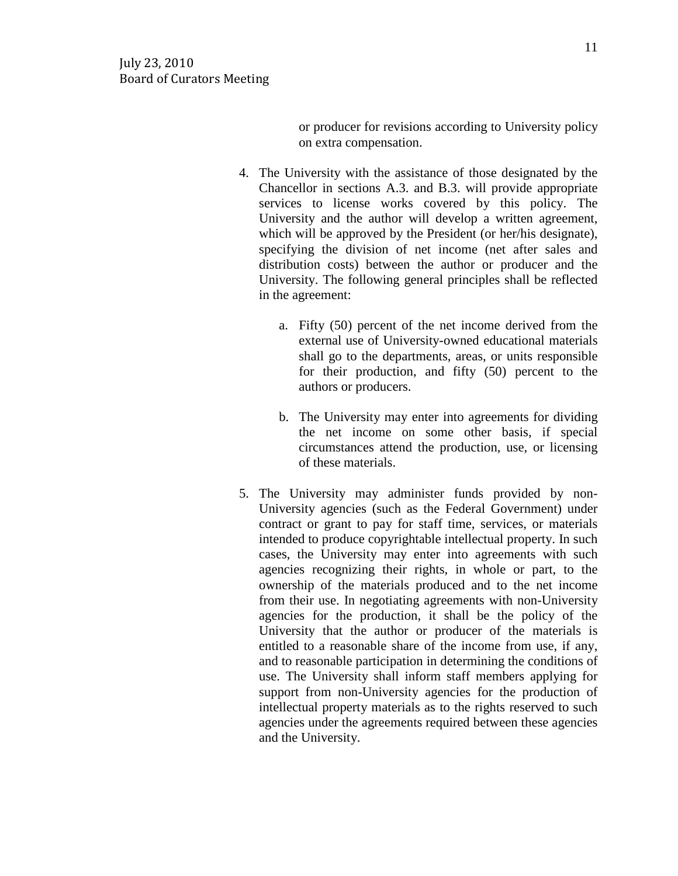or producer for revisions according to University policy on extra compensation.

- 4. The University with the assistance of those designated by the Chancellor in sections A.3. and B.3. will provide appropriate services to license works covered by this policy. The University and the author will develop a written agreement, which will be approved by the President (or her/his designate), specifying the division of net income (net after sales and distribution costs) between the author or producer and the University. The following general principles shall be reflected in the agreement:
	- a. Fifty (50) percent of the net income derived from the external use of University-owned educational materials shall go to the departments, areas, or units responsible for their production, and fifty (50) percent to the authors or producers.
	- b. The University may enter into agreements for dividing the net income on some other basis, if special circumstances attend the production, use, or licensing of these materials.
- 5. The University may administer funds provided by non-University agencies (such as the Federal Government) under contract or grant to pay for staff time, services, or materials intended to produce copyrightable intellectual property. In such cases, the University may enter into agreements with such agencies recognizing their rights, in whole or part, to the ownership of the materials produced and to the net income from their use. In negotiating agreements with non-University agencies for the production, it shall be the policy of the University that the author or producer of the materials is entitled to a reasonable share of the income from use, if any, and to reasonable participation in determining the conditions of use. The University shall inform staff members applying for support from non-University agencies for the production of intellectual property materials as to the rights reserved to such agencies under the agreements required between these agencies and the University.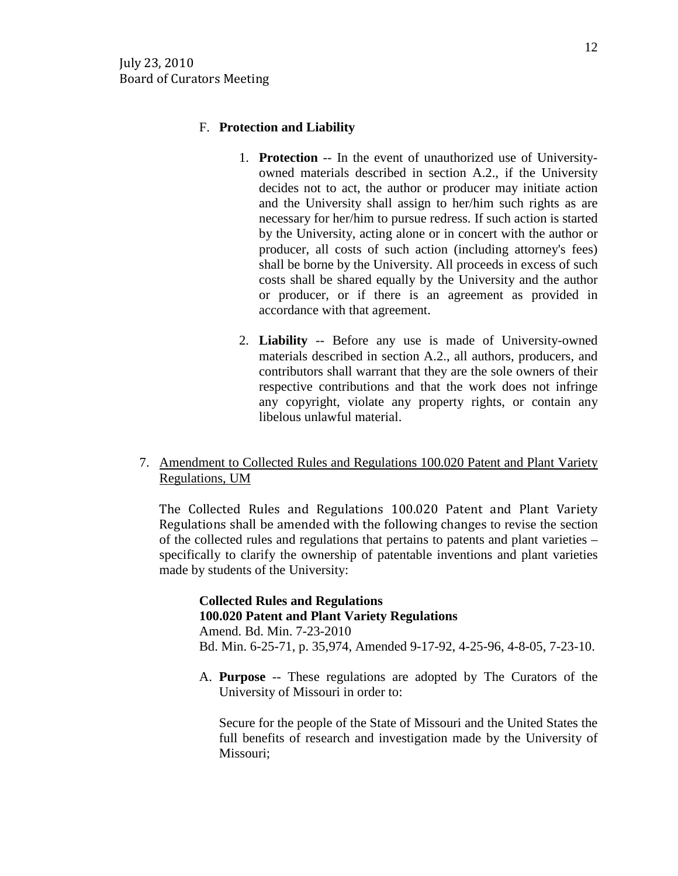## F. **Protection and Liability**

- 1. **Protection** -- In the event of unauthorized use of Universityowned materials described in section A.2., if the University decides not to act, the author or producer may initiate action and the University shall assign to her/him such rights as are necessary for her/him to pursue redress. If such action is started by the University, acting alone or in concert with the author or producer, all costs of such action (including attorney's fees) shall be borne by the University. All proceeds in excess of such costs shall be shared equally by the University and the author or producer, or if there is an agreement as provided in accordance with that agreement.
- 2. **Liability** -- Before any use is made of University-owned materials described in section A.2., all authors, producers, and contributors shall warrant that they are the sole owners of their respective contributions and that the work does not infringe any copyright, violate any property rights, or contain any libelous unlawful material.

# 7. Amendment to Collected Rules and Regulations 100.020 Patent and Plant Variety Regulations, UM

The Collected Rules and Regulations 100.020 Patent and Plant Variety Regulations shall be amended with the following changes to revise the section of the collected rules and regulations that pertains to patents and plant varieties – specifically to clarify the ownership of patentable inventions and plant varieties made by students of the University:

# **Collected Rules and Regulations 100.020 Patent and Plant Variety Regulations**

Amend. Bd. Min. 7-23-2010 Bd. Min. 6-25-71, p. 35,974, Amended 9-17-92, 4-25-96, 4-8-05, 7-23-10.

A. **Purpose** -- These regulations are adopted by The Curators of the University of Missouri in order to:

Secure for the people of the State of Missouri and the United States the full benefits of research and investigation made by the University of Missouri;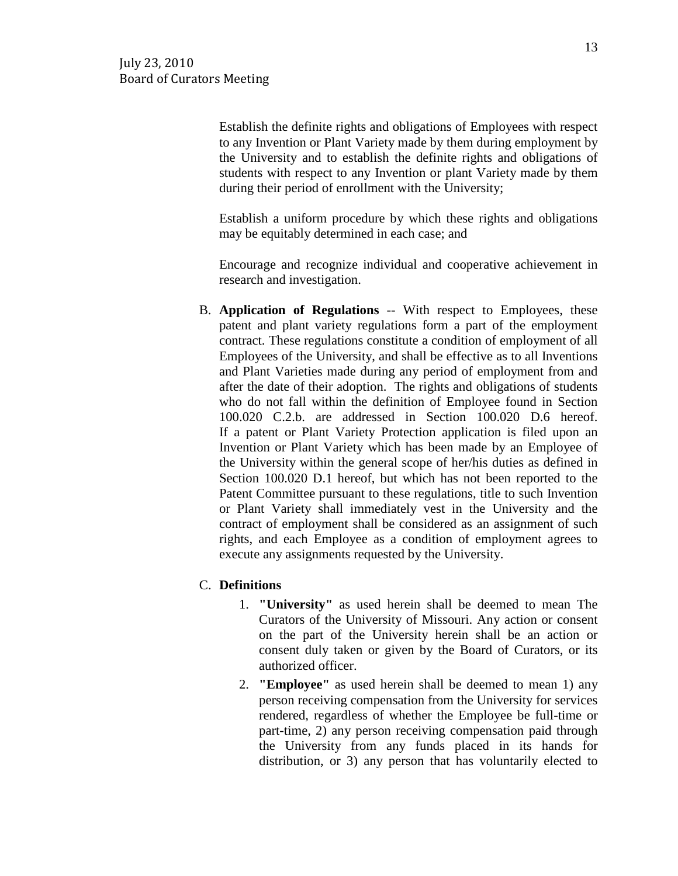Establish the definite rights and obligations of Employees with respect to any Invention or Plant Variety made by them during employment by the University and to establish the definite rights and obligations of students with respect to any Invention or plant Variety made by them during their period of enrollment with the University;

Establish a uniform procedure by which these rights and obligations may be equitably determined in each case; and

Encourage and recognize individual and cooperative achievement in research and investigation.

B. **Application of Regulations** -- With respect to Employees, these patent and plant variety regulations form a part of the employment contract. These regulations constitute a condition of employment of all Employees of the University, and shall be effective as to all Inventions and Plant Varieties made during any period of employment from and after the date of their adoption. The rights and obligations of students who do not fall within the definition of Employee found in Section 100.020 C.2.b. are addressed in Section 100.020 D.6 hereof. If a patent or Plant Variety Protection application is filed upon an Invention or Plant Variety which has been made by an Employee of the University within the general scope of her/his duties as defined in Section 100.020 D.1 hereof, but which has not been reported to the Patent Committee pursuant to these regulations, title to such Invention or Plant Variety shall immediately vest in the University and the contract of employment shall be considered as an assignment of such rights, and each Employee as a condition of employment agrees to execute any assignments requested by the University.

## C. **Definitions**

- 1. **"University"** as used herein shall be deemed to mean The Curators of the University of Missouri. Any action or consent on the part of the University herein shall be an action or consent duly taken or given by the Board of Curators, or its authorized officer.
- 2. **"Employee"** as used herein shall be deemed to mean 1) any person receiving compensation from the University for services rendered, regardless of whether the Employee be full-time or part-time, 2) any person receiving compensation paid through the University from any funds placed in its hands for distribution, or 3) any person that has voluntarily elected to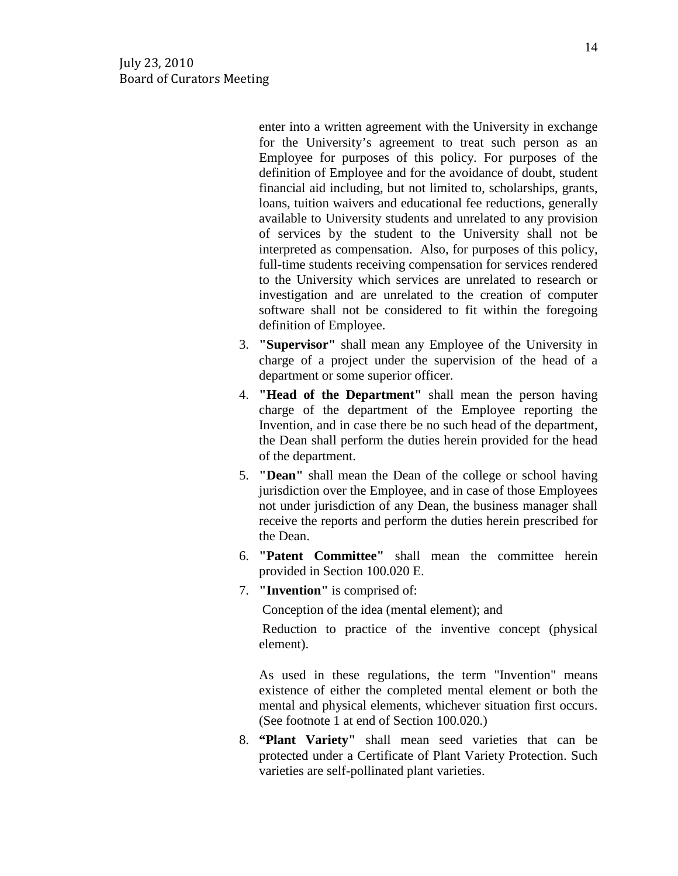enter into a written agreement with the University in exchange for the University's agreement to treat such person as an Employee for purposes of this policy. For purposes of the definition of Employee and for the avoidance of doubt, student financial aid including, but not limited to, scholarships, grants, loans, tuition waivers and educational fee reductions, generally available to University students and unrelated to any provision of services by the student to the University shall not be interpreted as compensation. Also, for purposes of this policy, full-time students receiving compensation for services rendered to the University which services are unrelated to research or investigation and are unrelated to the creation of computer software shall not be considered to fit within the foregoing definition of Employee.

- 3. **"Supervisor"** shall mean any Employee of the University in charge of a project under the supervision of the head of a department or some superior officer.
- 4. **"Head of the Department"** shall mean the person having charge of the department of the Employee reporting the Invention, and in case there be no such head of the department, the Dean shall perform the duties herein provided for the head of the department.
- 5. **"Dean"** shall mean the Dean of the college or school having jurisdiction over the Employee, and in case of those Employees not under jurisdiction of any Dean, the business manager shall receive the reports and perform the duties herein prescribed for the Dean.
- 6. **"Patent Committee"** shall mean the committee herein provided in Section 100.020 E.
- 7. **"Invention"** is comprised of:

Conception of the idea (mental element); and

Reduction to practice of the inventive concept (physical element).

As used in these regulations, the term "Invention" means existence of either the completed mental element or both the mental and physical elements, whichever situation first occurs. (See footnote 1 at end of Section 100.020.)

8. **"Plant Variety"** shall mean seed varieties that can be protected under a Certificate of Plant Variety Protection. Such varieties are self-pollinated plant varieties.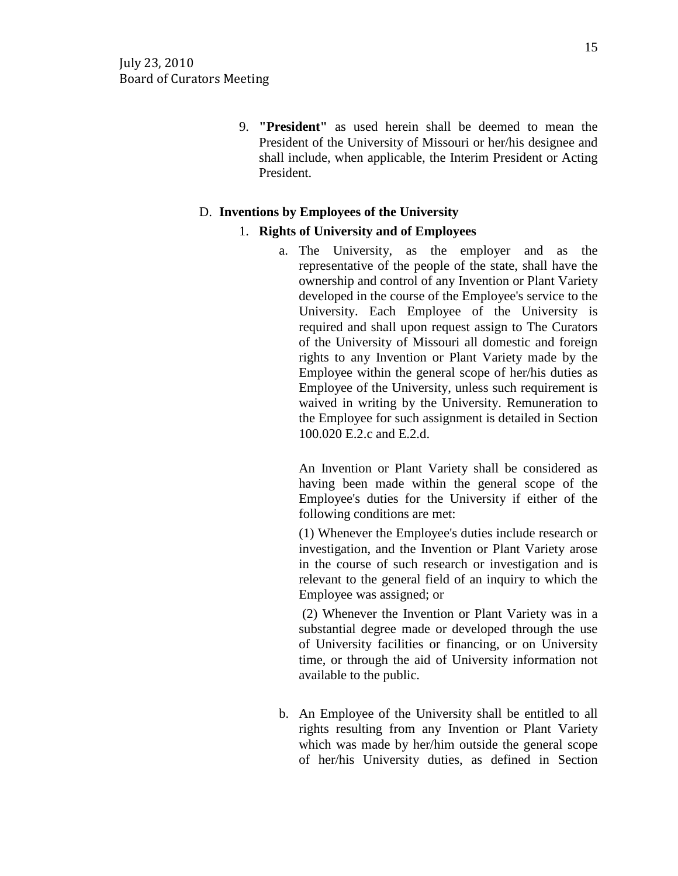9. **"President"** as used herein shall be deemed to mean the President of the University of Missouri or her/his designee and shall include, when applicable, the Interim President or Acting President.

## D. **Inventions by Employees of the University**

#### 1. **Rights of University and of Employees**

a. The University, as the employer and as the representative of the people of the state, shall have the ownership and control of any Invention or Plant Variety developed in the course of the Employee's service to the University. Each Employee of the University is required and shall upon request assign to The Curators of the University of Missouri all domestic and foreign rights to any Invention or Plant Variety made by the Employee within the general scope of her/his duties as Employee of the University, unless such requirement is waived in writing by the University. Remuneration to the Employee for such assignment is detailed in Section 100.020 E.2.c and E.2.d.

An Invention or Plant Variety shall be considered as having been made within the general scope of the Employee's duties for the University if either of the following conditions are met:

(1) Whenever the Employee's duties include research or investigation, and the Invention or Plant Variety arose in the course of such research or investigation and is relevant to the general field of an inquiry to which the Employee was assigned; or

(2) Whenever the Invention or Plant Variety was in a substantial degree made or developed through the use of University facilities or financing, or on University time, or through the aid of University information not available to the public.

b. An Employee of the University shall be entitled to all rights resulting from any Invention or Plant Variety which was made by her/him outside the general scope of her/his University duties, as defined in Section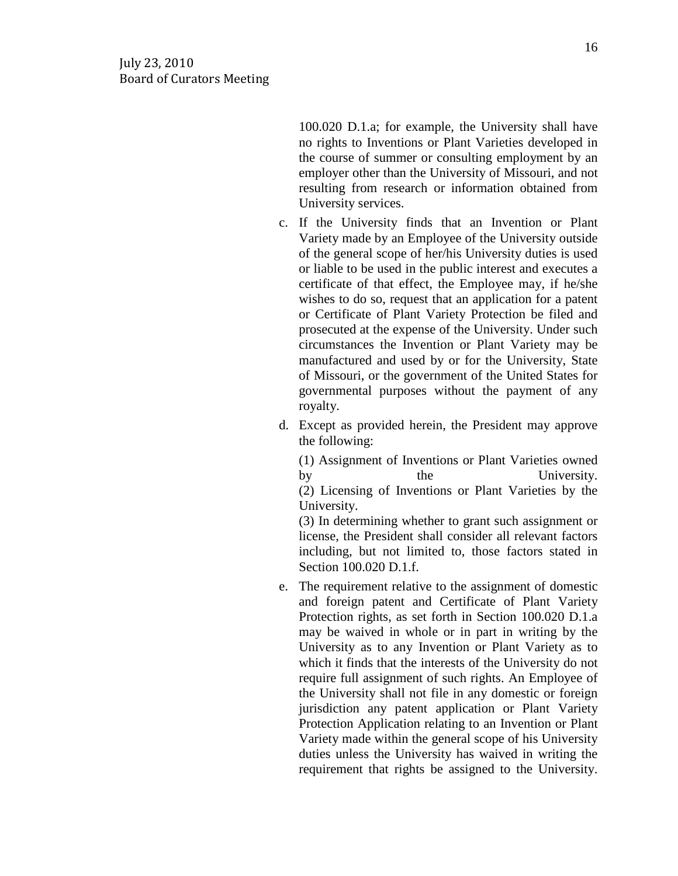100.020 D.1.a; for example, the University shall have no rights to Inventions or Plant Varieties developed in the course of summer or consulting employment by an employer other than the University of Missouri, and not resulting from research or information obtained from University services.

- c. If the University finds that an Invention or Plant Variety made by an Employee of the University outside of the general scope of her/his University duties is used or liable to be used in the public interest and executes a certificate of that effect, the Employee may, if he/she wishes to do so, request that an application for a patent or Certificate of Plant Variety Protection be filed and prosecuted at the expense of the University. Under such circumstances the Invention or Plant Variety may be manufactured and used by or for the University, State of Missouri, or the government of the United States for governmental purposes without the payment of any royalty.
- d. Except as provided herein, the President may approve the following:

(1) Assignment of Inventions or Plant Varieties owned by the University. (2) Licensing of Inventions or Plant Varieties by the University.

(3) In determining whether to grant such assignment or license, the President shall consider all relevant factors including, but not limited to, those factors stated in Section 100.020 D.1.f.

e. The requirement relative to the assignment of domestic and foreign patent and Certificate of Plant Variety Protection rights, as set forth in Section 100.020 D.1.a may be waived in whole or in part in writing by the University as to any Invention or Plant Variety as to which it finds that the interests of the University do not require full assignment of such rights. An Employee of the University shall not file in any domestic or foreign jurisdiction any patent application or Plant Variety Protection Application relating to an Invention or Plant Variety made within the general scope of his University duties unless the University has waived in writing the requirement that rights be assigned to the University.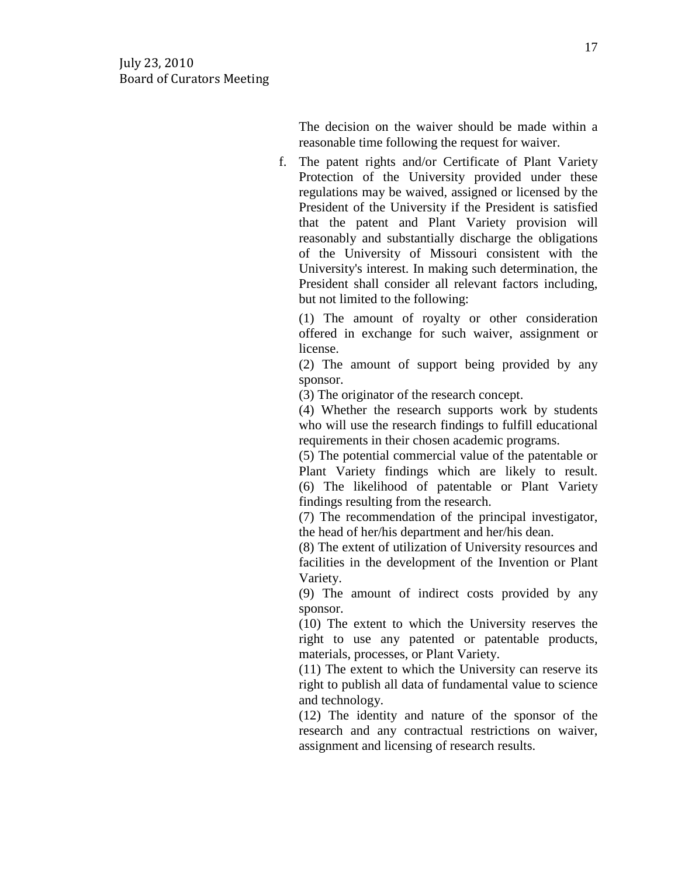The decision on the waiver should be made within a reasonable time following the request for waiver.

f. The patent rights and/or Certificate of Plant Variety Protection of the University provided under these regulations may be waived, assigned or licensed by the President of the University if the President is satisfied that the patent and Plant Variety provision will reasonably and substantially discharge the obligations of the University of Missouri consistent with the University's interest. In making such determination, the President shall consider all relevant factors including, but not limited to the following:

(1) The amount of royalty or other consideration offered in exchange for such waiver, assignment or license.

(2) The amount of support being provided by any sponsor.

(3) The originator of the research concept.

(4) Whether the research supports work by students who will use the research findings to fulfill educational requirements in their chosen academic programs.

(5) The potential commercial value of the patentable or Plant Variety findings which are likely to result. (6) The likelihood of patentable or Plant Variety findings resulting from the research.

(7) The recommendation of the principal investigator, the head of her/his department and her/his dean.

(8) The extent of utilization of University resources and facilities in the development of the Invention or Plant Variety.

(9) The amount of indirect costs provided by any sponsor.

(10) The extent to which the University reserves the right to use any patented or patentable products, materials, processes, or Plant Variety.

(11) The extent to which the University can reserve its right to publish all data of fundamental value to science and technology.

(12) The identity and nature of the sponsor of the research and any contractual restrictions on waiver, assignment and licensing of research results.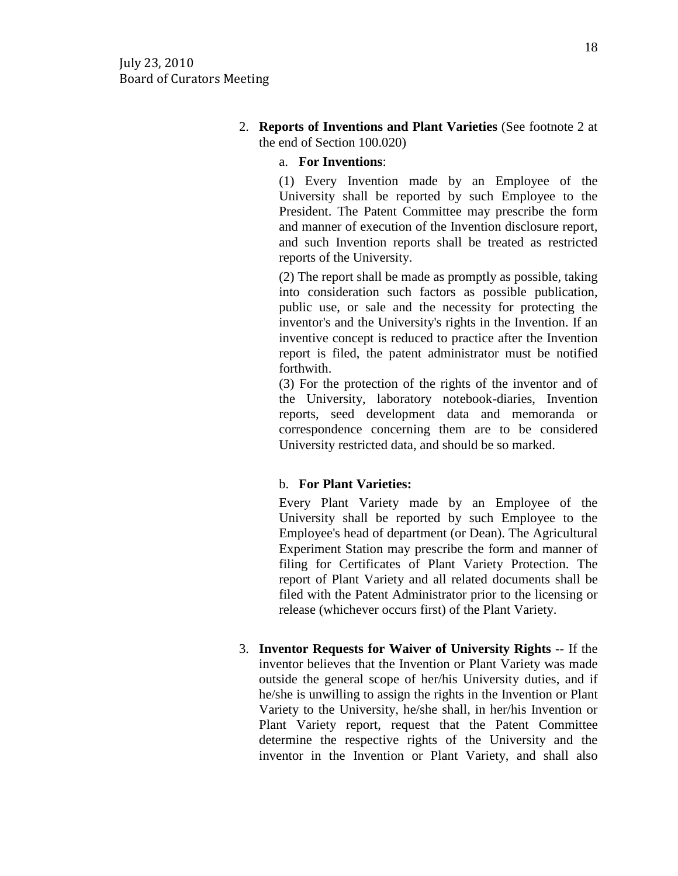2. **Reports of Inventions and Plant Varieties** (See footnote 2 at the end of Section 100.020)

a. **For Inventions**:

(1) Every Invention made by an Employee of the University shall be reported by such Employee to the President. The Patent Committee may prescribe the form and manner of execution of the Invention disclosure report, and such Invention reports shall be treated as restricted reports of the University.

(2) The report shall be made as promptly as possible, taking into consideration such factors as possible publication, public use, or sale and the necessity for protecting the inventor's and the University's rights in the Invention. If an inventive concept is reduced to practice after the Invention report is filed, the patent administrator must be notified forthwith.

(3) For the protection of the rights of the inventor and of the University, laboratory notebook-diaries, Invention reports, seed development data and memoranda or correspondence concerning them are to be considered University restricted data, and should be so marked.

## b. **For Plant Varieties:**

Every Plant Variety made by an Employee of the University shall be reported by such Employee to the Employee's head of department (or Dean). The Agricultural Experiment Station may prescribe the form and manner of filing for Certificates of Plant Variety Protection. The report of Plant Variety and all related documents shall be filed with the Patent Administrator prior to the licensing or release (whichever occurs first) of the Plant Variety.

3. **Inventor Requests for Waiver of University Rights** -- If the inventor believes that the Invention or Plant Variety was made outside the general scope of her/his University duties, and if he/she is unwilling to assign the rights in the Invention or Plant Variety to the University, he/she shall, in her/his Invention or Plant Variety report, request that the Patent Committee determine the respective rights of the University and the inventor in the Invention or Plant Variety, and shall also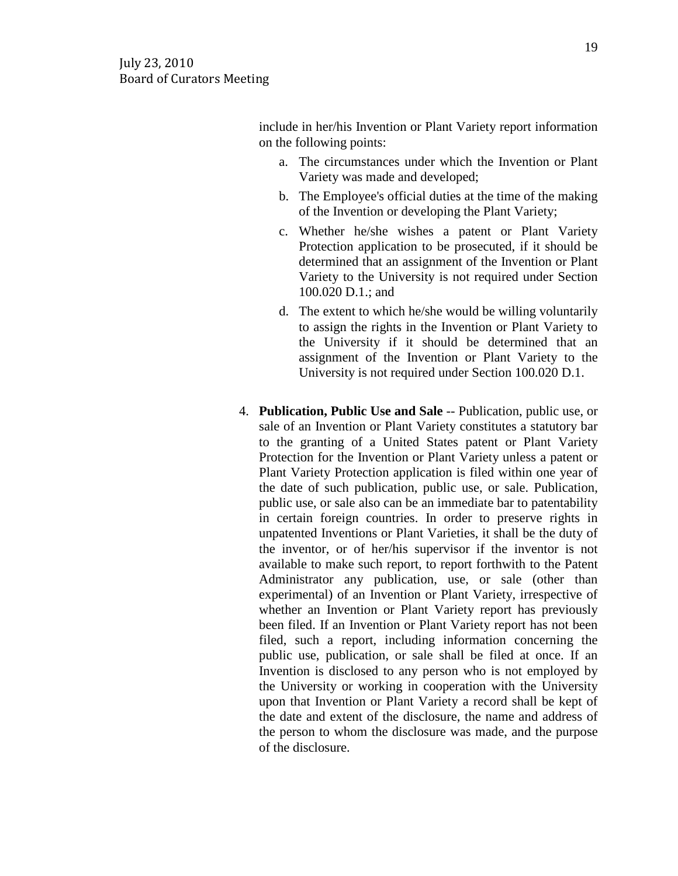include in her/his Invention or Plant Variety report information on the following points:

- a. The circumstances under which the Invention or Plant Variety was made and developed;
- b. The Employee's official duties at the time of the making of the Invention or developing the Plant Variety;
- c. Whether he/she wishes a patent or Plant Variety Protection application to be prosecuted, if it should be determined that an assignment of the Invention or Plant Variety to the University is not required under Section 100.020 D.1.; and
- d. The extent to which he/she would be willing voluntarily to assign the rights in the Invention or Plant Variety to the University if it should be determined that an assignment of the Invention or Plant Variety to the University is not required under Section 100.020 D.1.
- 4. **Publication, Public Use and Sale** -- Publication, public use, or sale of an Invention or Plant Variety constitutes a statutory bar to the granting of a United States patent or Plant Variety Protection for the Invention or Plant Variety unless a patent or Plant Variety Protection application is filed within one year of the date of such publication, public use, or sale. Publication, public use, or sale also can be an immediate bar to patentability in certain foreign countries. In order to preserve rights in unpatented Inventions or Plant Varieties, it shall be the duty of the inventor, or of her/his supervisor if the inventor is not available to make such report, to report forthwith to the Patent Administrator any publication, use, or sale (other than experimental) of an Invention or Plant Variety, irrespective of whether an Invention or Plant Variety report has previously been filed. If an Invention or Plant Variety report has not been filed, such a report, including information concerning the public use, publication, or sale shall be filed at once. If an Invention is disclosed to any person who is not employed by the University or working in cooperation with the University upon that Invention or Plant Variety a record shall be kept of the date and extent of the disclosure, the name and address of the person to whom the disclosure was made, and the purpose of the disclosure.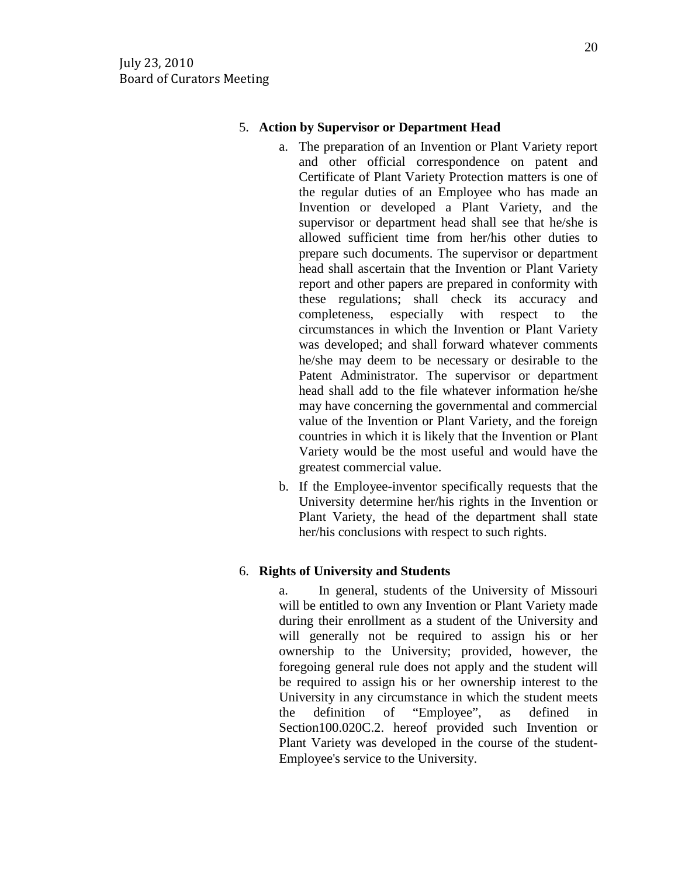## 5. **Action by Supervisor or Department Head**

- a. The preparation of an Invention or Plant Variety report and other official correspondence on patent and Certificate of Plant Variety Protection matters is one of the regular duties of an Employee who has made an Invention or developed a Plant Variety, and the supervisor or department head shall see that he/she is allowed sufficient time from her/his other duties to prepare such documents. The supervisor or department head shall ascertain that the Invention or Plant Variety report and other papers are prepared in conformity with these regulations; shall check its accuracy and completeness, especially with respect to the circumstances in which the Invention or Plant Variety was developed; and shall forward whatever comments he/she may deem to be necessary or desirable to the Patent Administrator. The supervisor or department head shall add to the file whatever information he/she may have concerning the governmental and commercial value of the Invention or Plant Variety, and the foreign countries in which it is likely that the Invention or Plant Variety would be the most useful and would have the greatest commercial value.
- b. If the Employee-inventor specifically requests that the University determine her/his rights in the Invention or Plant Variety, the head of the department shall state her/his conclusions with respect to such rights.

# 6. **Rights of University and Students**

a. In general, students of the University of Missouri will be entitled to own any Invention or Plant Variety made during their enrollment as a student of the University and will generally not be required to assign his or her ownership to the University; provided, however, the foregoing general rule does not apply and the student will be required to assign his or her ownership interest to the University in any circumstance in which the student meets the definition of "Employee", as defined in Section100.020C.2. hereof provided such Invention or Plant Variety was developed in the course of the student-Employee's service to the University.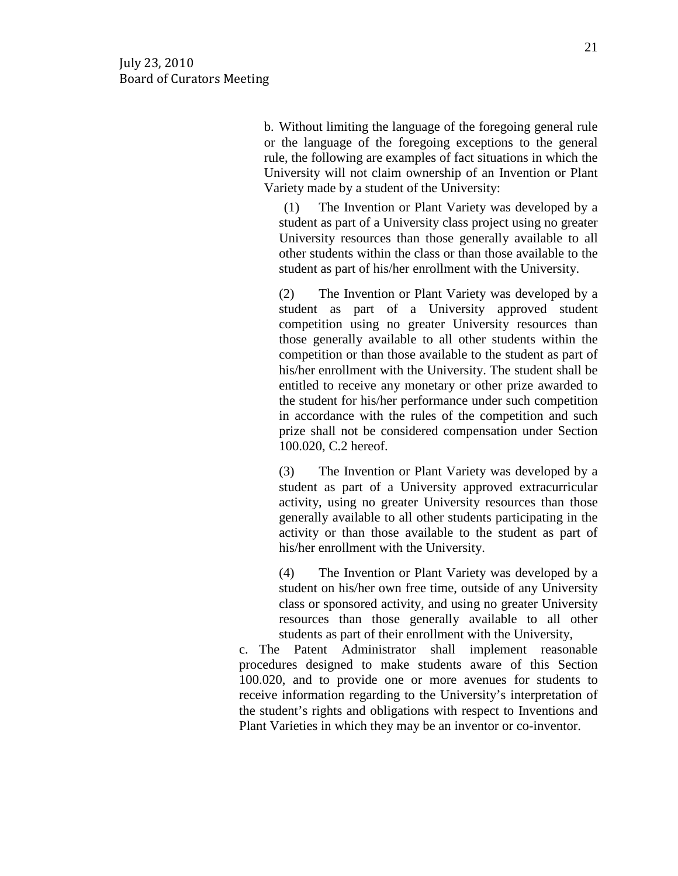b. Without limiting the language of the foregoing general rule or the language of the foregoing exceptions to the general rule, the following are examples of fact situations in which the University will not claim ownership of an Invention or Plant Variety made by a student of the University:

(1) The Invention or Plant Variety was developed by a student as part of a University class project using no greater University resources than those generally available to all other students within the class or than those available to the student as part of his/her enrollment with the University.

(2) The Invention or Plant Variety was developed by a student as part of a University approved student competition using no greater University resources than those generally available to all other students within the competition or than those available to the student as part of his/her enrollment with the University. The student shall be entitled to receive any monetary or other prize awarded to the student for his/her performance under such competition in accordance with the rules of the competition and such prize shall not be considered compensation under Section 100.020, C.2 hereof.

(3) The Invention or Plant Variety was developed by a student as part of a University approved extracurricular activity, using no greater University resources than those generally available to all other students participating in the activity or than those available to the student as part of his/her enrollment with the University.

(4) The Invention or Plant Variety was developed by a student on his/her own free time, outside of any University class or sponsored activity, and using no greater University resources than those generally available to all other students as part of their enrollment with the University,

c. The Patent Administrator shall implement reasonable procedures designed to make students aware of this Section 100.020, and to provide one or more avenues for students to receive information regarding to the University's interpretation of the student's rights and obligations with respect to Inventions and Plant Varieties in which they may be an inventor or co-inventor.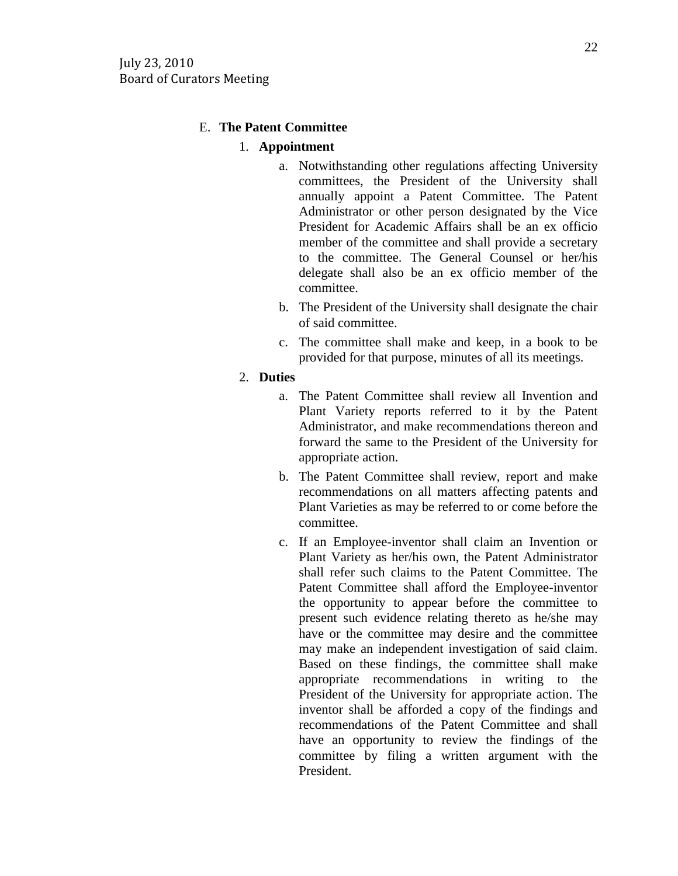## E. **The Patent Committee**

#### 1. **Appointment**

- a. Notwithstanding other regulations affecting University committees, the President of the University shall annually appoint a Patent Committee. The Patent Administrator or other person designated by the Vice President for Academic Affairs shall be an ex officio member of the committee and shall provide a secretary to the committee. The General Counsel or her/his delegate shall also be an ex officio member of the committee.
- b. The President of the University shall designate the chair of said committee.
- c. The committee shall make and keep, in a book to be provided for that purpose, minutes of all its meetings.

#### 2. **Duties**

- a. The Patent Committee shall review all Invention and Plant Variety reports referred to it by the Patent Administrator, and make recommendations thereon and forward the same to the President of the University for appropriate action.
- b. The Patent Committee shall review, report and make recommendations on all matters affecting patents and Plant Varieties as may be referred to or come before the committee.
- c. If an Employee-inventor shall claim an Invention or Plant Variety as her/his own, the Patent Administrator shall refer such claims to the Patent Committee. The Patent Committee shall afford the Employee-inventor the opportunity to appear before the committee to present such evidence relating thereto as he/she may have or the committee may desire and the committee may make an independent investigation of said claim. Based on these findings, the committee shall make appropriate recommendations in writing to the President of the University for appropriate action. The inventor shall be afforded a copy of the findings and recommendations of the Patent Committee and shall have an opportunity to review the findings of the committee by filing a written argument with the President.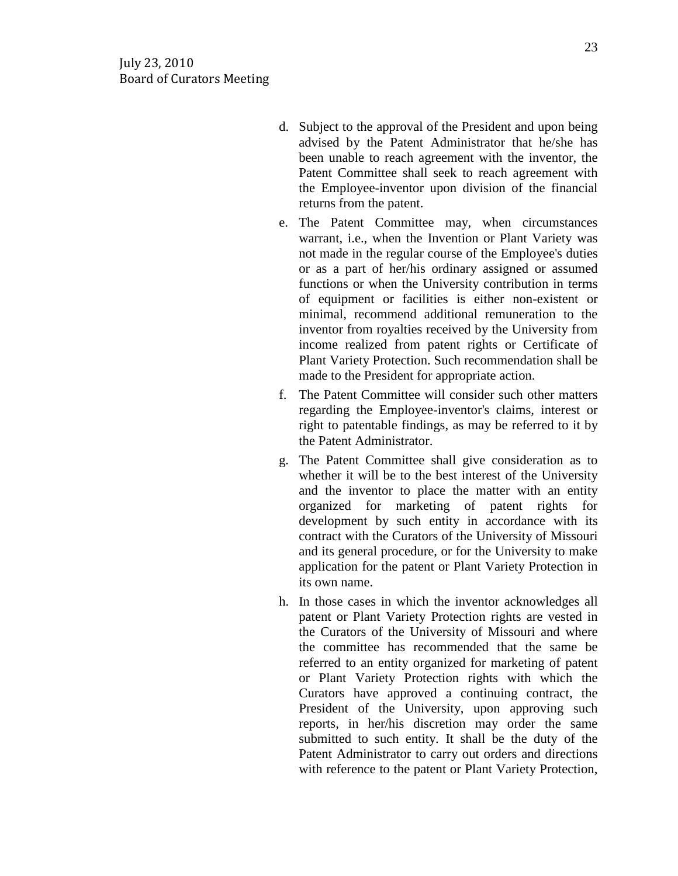- d. Subject to the approval of the President and upon being advised by the Patent Administrator that he/she has been unable to reach agreement with the inventor, the Patent Committee shall seek to reach agreement with the Employee-inventor upon division of the financial returns from the patent.
- e. The Patent Committee may, when circumstances warrant, i.e., when the Invention or Plant Variety was not made in the regular course of the Employee's duties or as a part of her/his ordinary assigned or assumed functions or when the University contribution in terms of equipment or facilities is either non-existent or minimal, recommend additional remuneration to the inventor from royalties received by the University from income realized from patent rights or Certificate of Plant Variety Protection. Such recommendation shall be made to the President for appropriate action.
- f. The Patent Committee will consider such other matters regarding the Employee-inventor's claims, interest or right to patentable findings, as may be referred to it by the Patent Administrator.
- g. The Patent Committee shall give consideration as to whether it will be to the best interest of the University and the inventor to place the matter with an entity organized for marketing of patent rights for development by such entity in accordance with its contract with the Curators of the University of Missouri and its general procedure, or for the University to make application for the patent or Plant Variety Protection in its own name.
- h. In those cases in which the inventor acknowledges all patent or Plant Variety Protection rights are vested in the Curators of the University of Missouri and where the committee has recommended that the same be referred to an entity organized for marketing of patent or Plant Variety Protection rights with which the Curators have approved a continuing contract, the President of the University, upon approving such reports, in her/his discretion may order the same submitted to such entity. It shall be the duty of the Patent Administrator to carry out orders and directions with reference to the patent or Plant Variety Protection,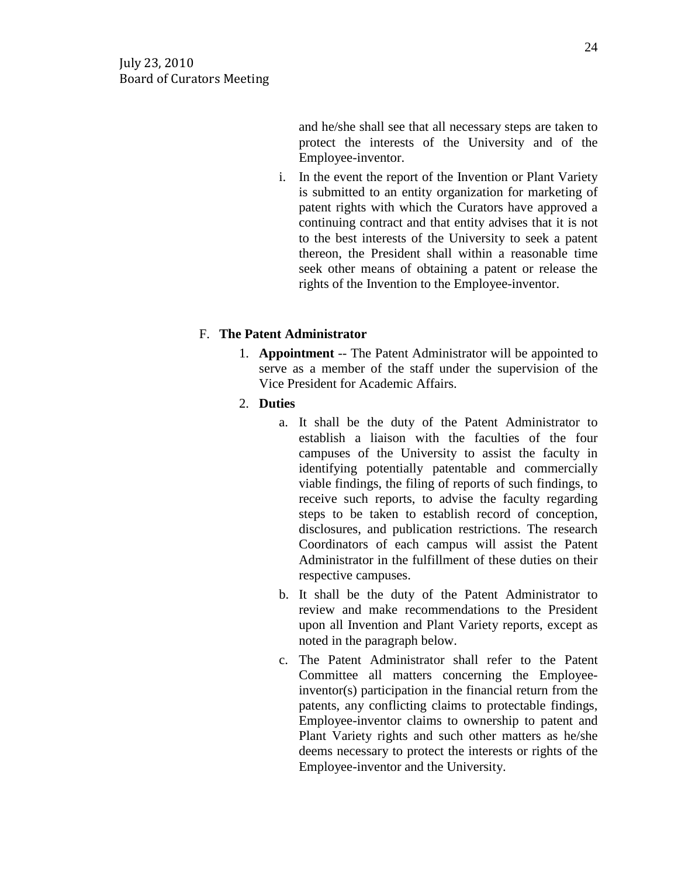and he/she shall see that all necessary steps are taken to protect the interests of the University and of the Employee-inventor.

i. In the event the report of the Invention or Plant Variety is submitted to an entity organization for marketing of patent rights with which the Curators have approved a continuing contract and that entity advises that it is not to the best interests of the University to seek a patent thereon, the President shall within a reasonable time seek other means of obtaining a patent or release the rights of the Invention to the Employee-inventor.

# F. **The Patent Administrator**

- 1. **Appointment** -- The Patent Administrator will be appointed to serve as a member of the staff under the supervision of the Vice President for Academic Affairs.
- 2. **Duties** 
	- a. It shall be the duty of the Patent Administrator to establish a liaison with the faculties of the four campuses of the University to assist the faculty in identifying potentially patentable and commercially viable findings, the filing of reports of such findings, to receive such reports, to advise the faculty regarding steps to be taken to establish record of conception, disclosures, and publication restrictions. The research Coordinators of each campus will assist the Patent Administrator in the fulfillment of these duties on their respective campuses.
	- b. It shall be the duty of the Patent Administrator to review and make recommendations to the President upon all Invention and Plant Variety reports, except as noted in the paragraph below.
	- c. The Patent Administrator shall refer to the Patent Committee all matters concerning the Employeeinventor(s) participation in the financial return from the patents, any conflicting claims to protectable findings, Employee-inventor claims to ownership to patent and Plant Variety rights and such other matters as he/she deems necessary to protect the interests or rights of the Employee-inventor and the University.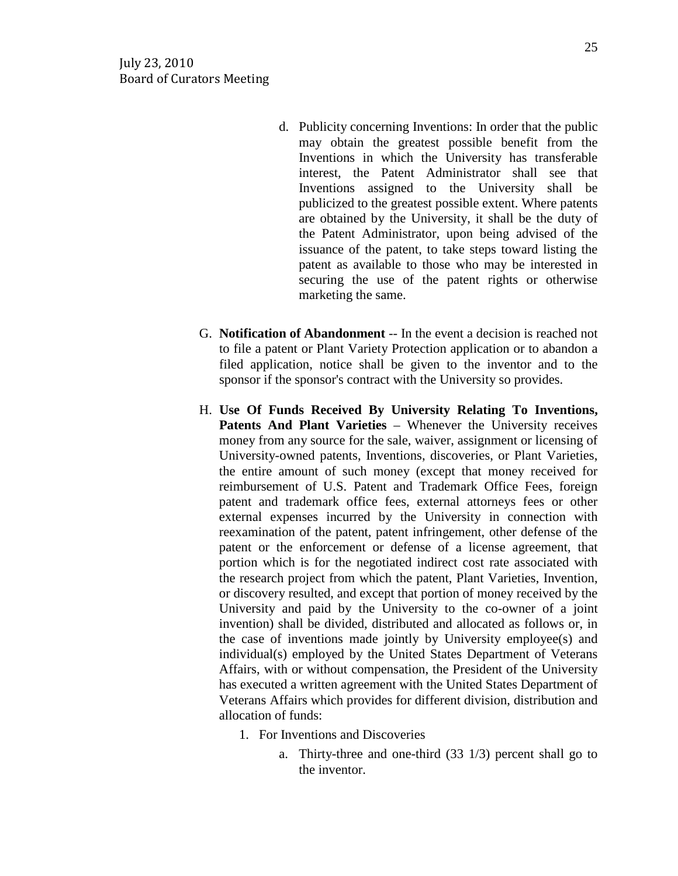- d. Publicity concerning Inventions: In order that the public may obtain the greatest possible benefit from the Inventions in which the University has transferable interest, the Patent Administrator shall see that Inventions assigned to the University shall be publicized to the greatest possible extent. Where patents are obtained by the University, it shall be the duty of the Patent Administrator, upon being advised of the issuance of the patent, to take steps toward listing the patent as available to those who may be interested in securing the use of the patent rights or otherwise marketing the same.
- G. **Notification of Abandonment** -- In the event a decision is reached not to file a patent or Plant Variety Protection application or to abandon a filed application, notice shall be given to the inventor and to the sponsor if the sponsor's contract with the University so provides.
- H. **Use Of Funds Received By University Relating To Inventions, Patents And Plant Varieties** – Whenever the University receives money from any source for the sale, waiver, assignment or licensing of University-owned patents, Inventions, discoveries, or Plant Varieties, the entire amount of such money (except that money received for reimbursement of U.S. Patent and Trademark Office Fees, foreign patent and trademark office fees, external attorneys fees or other external expenses incurred by the University in connection with reexamination of the patent, patent infringement, other defense of the patent or the enforcement or defense of a license agreement, that portion which is for the negotiated indirect cost rate associated with the research project from which the patent, Plant Varieties, Invention, or discovery resulted, and except that portion of money received by the University and paid by the University to the co-owner of a joint invention) shall be divided, distributed and allocated as follows or, in the case of inventions made jointly by University employee(s) and individual(s) employed by the United States Department of Veterans Affairs, with or without compensation, the President of the University has executed a written agreement with the United States Department of Veterans Affairs which provides for different division, distribution and allocation of funds:
	- 1. For Inventions and Discoveries
		- a. Thirty-three and one-third (33 1/3) percent shall go to the inventor.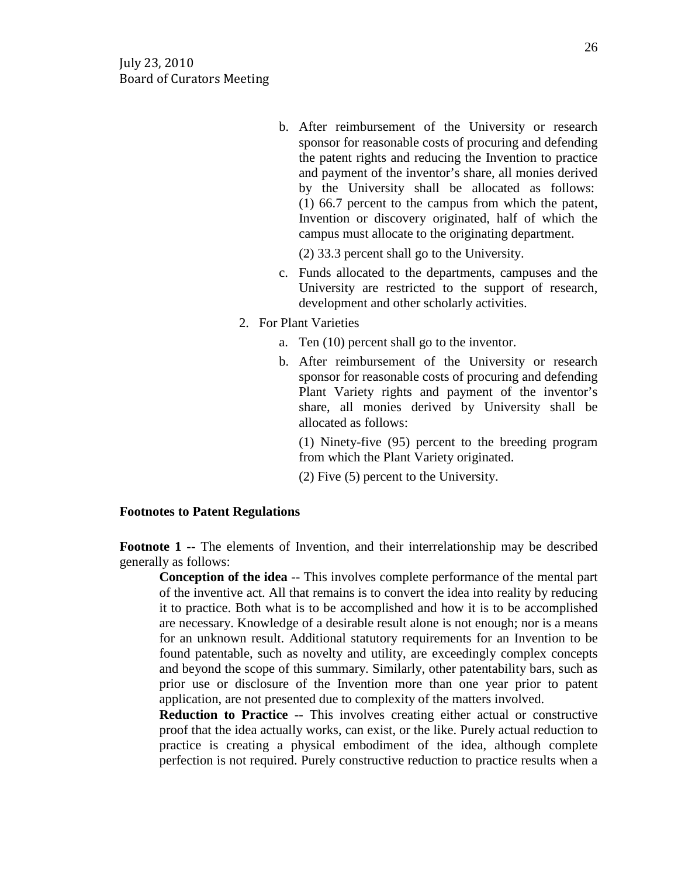b. After reimbursement of the University or research sponsor for reasonable costs of procuring and defending the patent rights and reducing the Invention to practice and payment of the inventor's share, all monies derived by the University shall be allocated as follows: (1) 66.7 percent to the campus from which the patent, Invention or discovery originated, half of which the campus must allocate to the originating department.

(2) 33.3 percent shall go to the University.

- c. Funds allocated to the departments, campuses and the University are restricted to the support of research, development and other scholarly activities.
- 2. For Plant Varieties
	- a. Ten (10) percent shall go to the inventor.
	- b. After reimbursement of the University or research sponsor for reasonable costs of procuring and defending Plant Variety rights and payment of the inventor's share, all monies derived by University shall be allocated as follows:

(1) Ninety-five (95) percent to the breeding program from which the Plant Variety originated.

(2) Five (5) percent to the University.

#### **Footnotes to Patent Regulations**

**Footnote 1** -- The elements of Invention, and their interrelationship may be described generally as follows:

**Conception of the idea** -- This involves complete performance of the mental part of the inventive act. All that remains is to convert the idea into reality by reducing it to practice. Both what is to be accomplished and how it is to be accomplished are necessary. Knowledge of a desirable result alone is not enough; nor is a means for an unknown result. Additional statutory requirements for an Invention to be found patentable, such as novelty and utility, are exceedingly complex concepts and beyond the scope of this summary. Similarly, other patentability bars, such as prior use or disclosure of the Invention more than one year prior to patent application, are not presented due to complexity of the matters involved.

**Reduction to Practice** -- This involves creating either actual or constructive proof that the idea actually works, can exist, or the like. Purely actual reduction to practice is creating a physical embodiment of the idea, although complete perfection is not required. Purely constructive reduction to practice results when a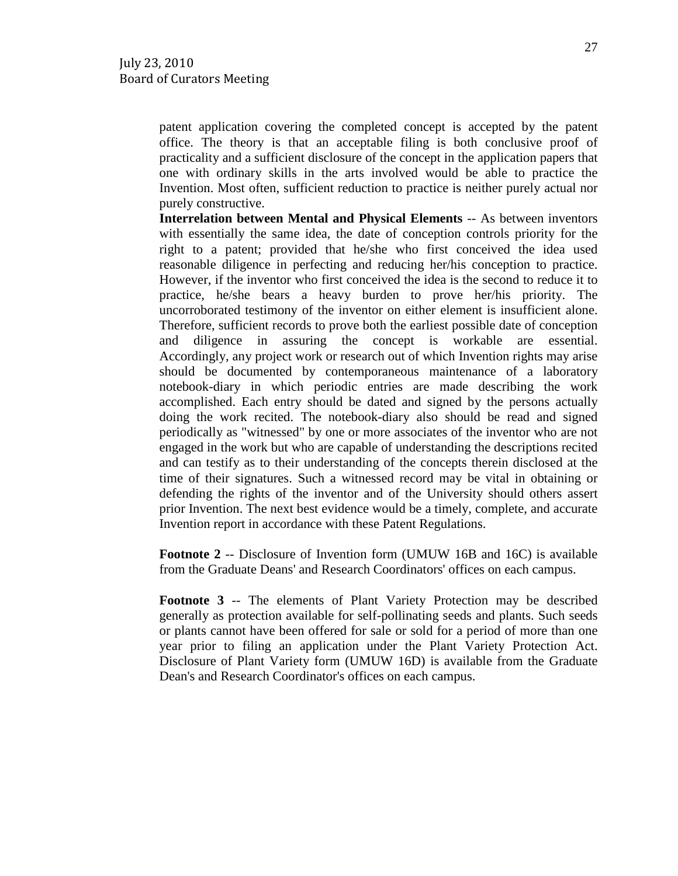patent application covering the completed concept is accepted by the patent office. The theory is that an acceptable filing is both conclusive proof of practicality and a sufficient disclosure of the concept in the application papers that one with ordinary skills in the arts involved would be able to practice the Invention. Most often, sufficient reduction to practice is neither purely actual nor purely constructive.

**Interrelation between Mental and Physical Elements** -- As between inventors with essentially the same idea, the date of conception controls priority for the right to a patent; provided that he/she who first conceived the idea used reasonable diligence in perfecting and reducing her/his conception to practice. However, if the inventor who first conceived the idea is the second to reduce it to practice, he/she bears a heavy burden to prove her/his priority. The uncorroborated testimony of the inventor on either element is insufficient alone. Therefore, sufficient records to prove both the earliest possible date of conception and diligence in assuring the concept is workable are essential. Accordingly, any project work or research out of which Invention rights may arise should be documented by contemporaneous maintenance of a laboratory notebook-diary in which periodic entries are made describing the work accomplished. Each entry should be dated and signed by the persons actually doing the work recited. The notebook-diary also should be read and signed periodically as "witnessed" by one or more associates of the inventor who are not engaged in the work but who are capable of understanding the descriptions recited and can testify as to their understanding of the concepts therein disclosed at the time of their signatures. Such a witnessed record may be vital in obtaining or defending the rights of the inventor and of the University should others assert prior Invention. The next best evidence would be a timely, complete, and accurate Invention report in accordance with these Patent Regulations.

**Footnote 2** -- Disclosure of Invention form (UMUW 16B and 16C) is available from the Graduate Deans' and Research Coordinators' offices on each campus.

**Footnote 3** -- The elements of Plant Variety Protection may be described generally as protection available for self-pollinating seeds and plants. Such seeds or plants cannot have been offered for sale or sold for a period of more than one year prior to filing an application under the Plant Variety Protection Act. Disclosure of Plant Variety form (UMUW 16D) is available from the Graduate Dean's and Research Coordinator's offices on each campus.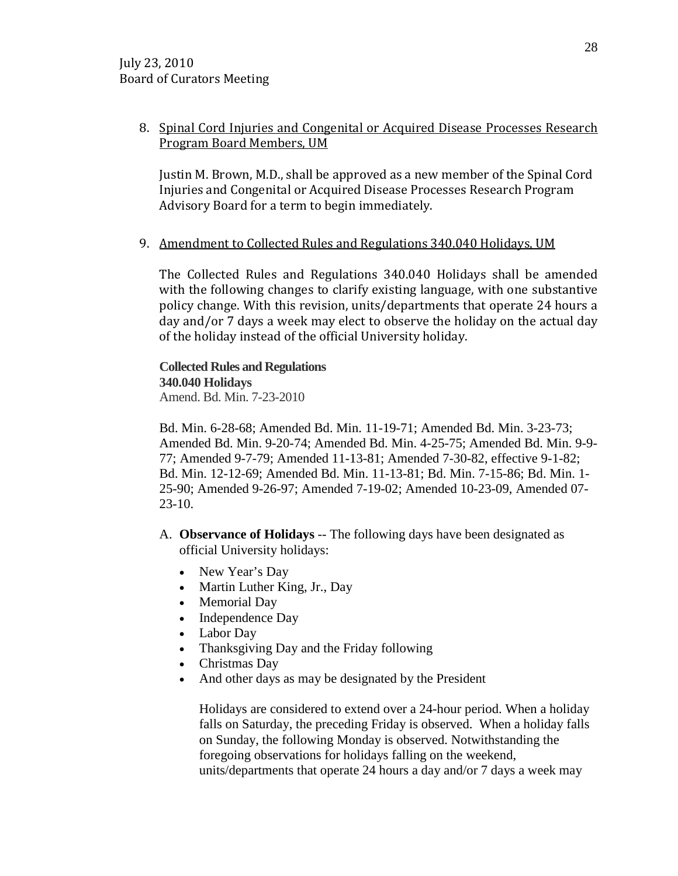# 8. Spinal Cord Injuries and Congenital or Acquired Disease Processes Research Program Board Members, UM

Justin M. Brown, M.D., shall be approved as a new member of the Spinal Cord Injuries and Congenital or Acquired Disease Processes Research Program Advisory Board for a term to begin immediately.

## 9. Amendment to Collected Rules and Regulations 340.040 Holidays, UM

The Collected Rules and Regulations 340.040 Holidays shall be amended with the following changes to clarify existing language, with one substantive policy change. With this revision, units/departments that operate 24 hours a day and/or 7 days a week may elect to observe the holiday on the actual day of the holiday instead of the official University holiday.

**Collected Rules and Regulations 340.040 Holidays** Amend. Bd. Min. 7-23-2010

Bd. Min. 6-28-68; Amended Bd. Min. 11-19-71; Amended Bd. Min. 3-23-73; Amended Bd. Min. 9-20-74; Amended Bd. Min. 4-25-75; Amended Bd. Min. 9-9- 77; Amended 9-7-79; Amended 11-13-81; Amended 7-30-82, effective 9-1-82; Bd. Min. 12-12-69; Amended Bd. Min. 11-13-81; Bd. Min. 7-15-86; Bd. Min. 1- 25-90; Amended 9-26-97; Amended 7-19-02; Amended 10-23-09, Amended 07- 23-10.

- A. **Observance of Holidays** -- The following days have been designated as official University holidays:
	- New Year's Day
	- Martin Luther King, Jr., Day
	- Memorial Day
	- Independence Day
	- Labor Day
	- Thanksgiving Day and the Friday following
	- Christmas Day
	- And other days as may be designated by the President

Holidays are considered to extend over a 24-hour period. When a holiday falls on Saturday, the preceding Friday is observed. When a holiday falls on Sunday, the following Monday is observed. Notwithstanding the foregoing observations for holidays falling on the weekend, units/departments that operate 24 hours a day and/or 7 days a week may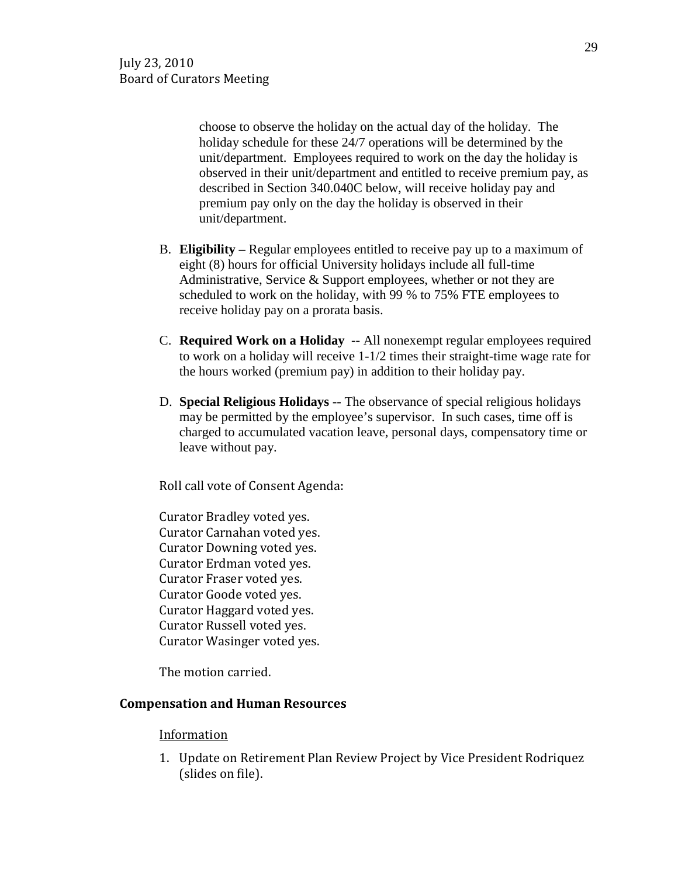choose to observe the holiday on the actual day of the holiday. The holiday schedule for these 24/7 operations will be determined by the unit/department. Employees required to work on the day the holiday is observed in their unit/department and entitled to receive premium pay, as described in Section 340.040C below, will receive holiday pay and premium pay only on the day the holiday is observed in their unit/department.

- B. **Eligibility –** Regular employees entitled to receive pay up to a maximum of eight (8) hours for official University holidays include all full-time Administrative, Service & Support employees, whether or not they are scheduled to work on the holiday, with 99 % to 75% FTE employees to receive holiday pay on a prorata basis.
- C. **Required Work on a Holiday --** All nonexempt regular employees required to work on a holiday will receive 1-1/2 times their straight-time wage rate for the hours worked (premium pay) in addition to their holiday pay.
- D. **Special Religious Holidays** -- The observance of special religious holidays may be permitted by the employee's supervisor. In such cases, time off is charged to accumulated vacation leave, personal days, compensatory time or leave without pay.

Roll call vote of Consent Agenda:

Curator Bradley voted yes. Curator Carnahan voted yes. Curator Downing voted yes. Curator Erdman voted yes. Curator Fraser voted yes. Curator Goode voted yes. Curator Haggard voted yes. Curator Russell voted yes. Curator Wasinger voted yes.

The motion carried.

# **Compensation and Human Resources**

## Information

1. Update on Retirement Plan Review Project by Vice President Rodriquez (slides on file).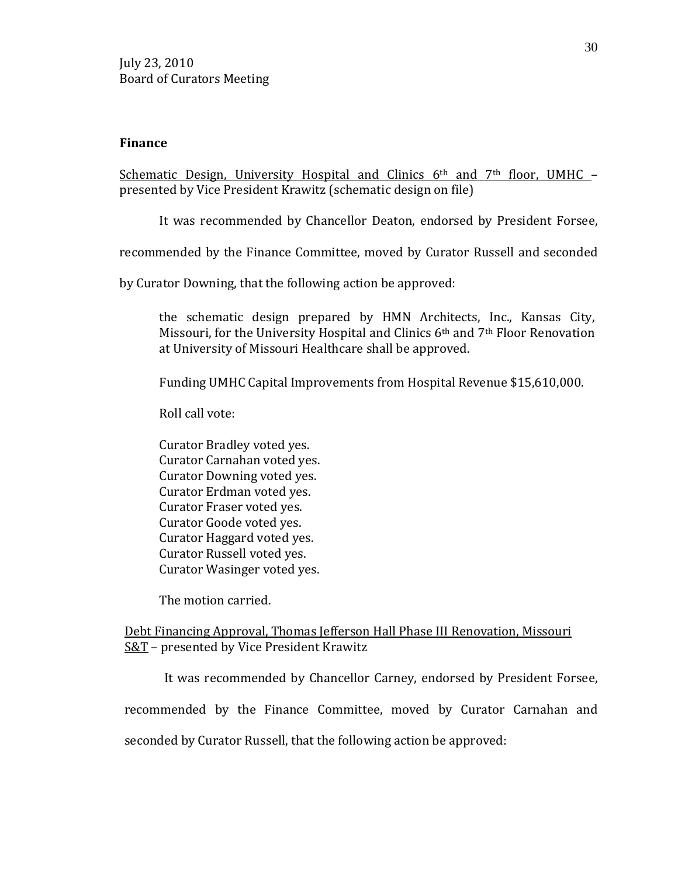#### **Finance**

Schematic Design, University Hospital and Clinics  $6<sup>th</sup>$  and  $7<sup>th</sup>$  floor, UMHC – presented by Vice President Krawitz (schematic design on file)

It was recommended by Chancellor Deaton, endorsed by President Forsee,

recommended by the Finance Committee, moved by Curator Russell and seconded

by Curator Downing, that the following action be approved:

the schematic design prepared by HMN Architects, Inc., Kansas City, Missouri, for the University Hospital and Clinics 6th and 7th Floor Renovation at University of Missouri Healthcare shall be approved.

Funding UMHC Capital Improvements from Hospital Revenue \$15,610,000.

Roll call vote:

Curator Bradley voted yes. Curator Carnahan voted yes. Curator Downing voted yes. Curator Erdman voted yes. Curator Fraser voted yes. Curator Goode voted yes. Curator Haggard voted yes. Curator Russell voted yes. Curator Wasinger voted yes.

The motion carried.

## Debt Financing Approval, Thomas Jefferson Hall Phase III Renovation, Missouri S&T – presented by Vice President Krawitz

It was recommended by Chancellor Carney, endorsed by President Forsee,

recommended by the Finance Committee, moved by Curator Carnahan and

seconded by Curator Russell, that the following action be approved: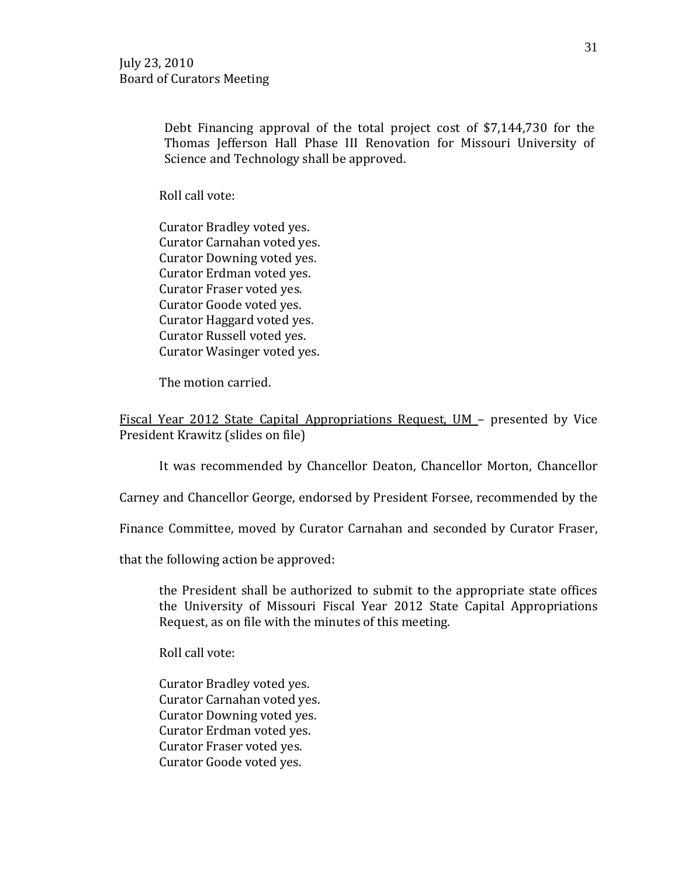Debt Financing approval of the total project cost of \$7,144,730 for the Thomas Jefferson Hall Phase III Renovation for Missouri University of Science and Technology shall be approved.

Roll call vote:

Curator Bradley voted yes. Curator Carnahan voted yes. Curator Downing voted yes. Curator Erdman voted yes. Curator Fraser voted yes. Curator Goode voted yes. Curator Haggard voted yes. Curator Russell voted yes. Curator Wasinger voted yes.

The motion carried.

Fiscal Year 2012 State Capital Appropriations Request, UM – presented by Vice President Krawitz (slides on file)

It was recommended by Chancellor Deaton, Chancellor Morton, Chancellor

Carney and Chancellor George, endorsed by President Forsee, recommended by the

Finance Committee, moved by Curator Carnahan and seconded by Curator Fraser,

that the following action be approved:

the President shall be authorized to submit to the appropriate state offices the University of Missouri Fiscal Year 2012 State Capital Appropriations Request, as on file with the minutes of this meeting.

Roll call vote:

Curator Bradley voted yes. Curator Carnahan voted yes. Curator Downing voted yes. Curator Erdman voted yes. Curator Fraser voted yes. Curator Goode voted yes.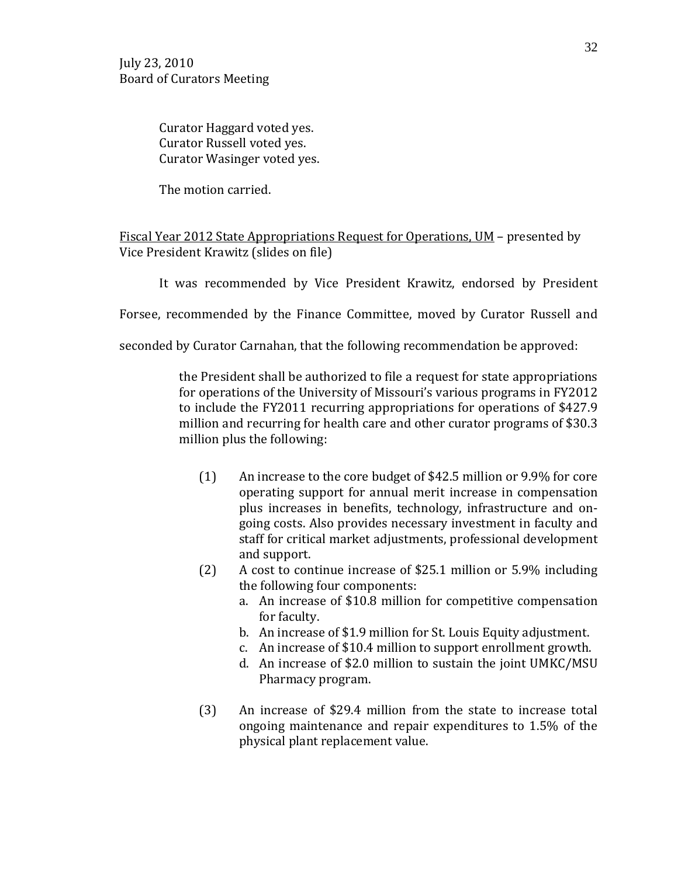Curator Haggard voted yes. Curator Russell voted yes. Curator Wasinger voted yes.

The motion carried.

## Fiscal Year 2012 State Appropriations Request for Operations, UM - presented by Vice President Krawitz (slides on file)

It was recommended by Vice President Krawitz, endorsed by President

Forsee, recommended by the Finance Committee, moved by Curator Russell and

seconded by Curator Carnahan, that the following recommendation be approved:

the President shall be authorized to file a request for state appropriations for operations of the University of Missouri's various programs in FY2012 to include the FY2011 recurring appropriations for operations of \$427.9 million and recurring for health care and other curator programs of \$30.3 million plus the following:

- (1) An increase to the core budget of \$42.5 million or 9.9% for core operating support for annual merit increase in compensation plus increases in benefits, technology, infrastructure and ongoing costs. Also provides necessary investment in faculty and staff for critical market adjustments, professional development and support.
- (2) A cost to continue increase of \$25.1 million or 5.9% including the following four components:
	- a. An increase of \$10.8 million for competitive compensation for faculty.
	- b. An increase of \$1.9 million for St. Louis Equity adjustment.
	- c. An increase of \$10.4 million to support enrollment growth.
	- d. An increase of \$2.0 million to sustain the joint UMKC/MSU Pharmacy program.
- (3) An increase of \$29.4 million from the state to increase total ongoing maintenance and repair expenditures to 1.5% of the physical plant replacement value.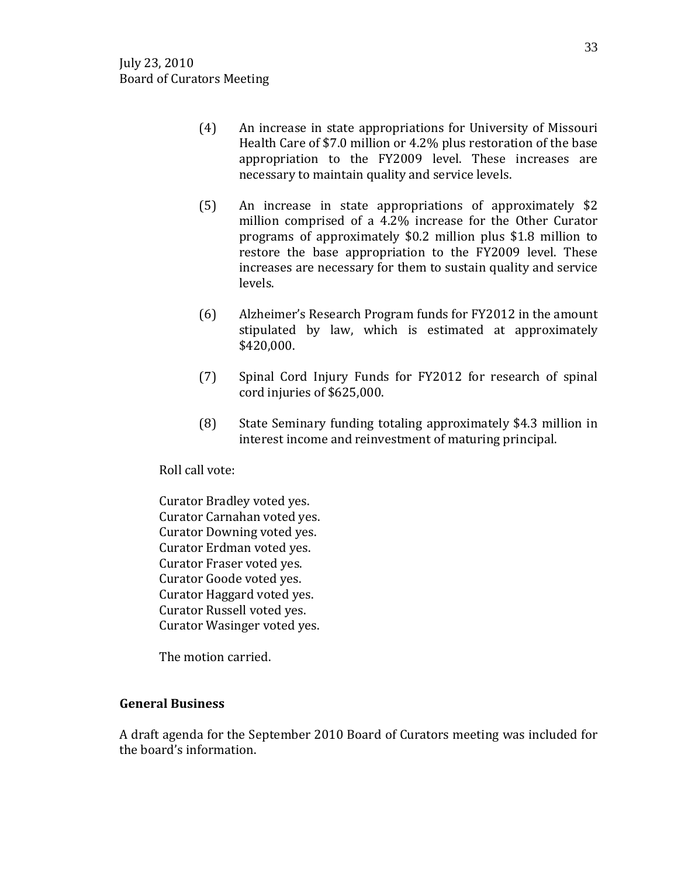- (4) An increase in state appropriations for University of Missouri Health Care of \$7.0 million or 4.2% plus restoration of the base appropriation to the FY2009 level. These increases are necessary to maintain quality and service levels.
- (5) An increase in state appropriations of approximately \$2 million comprised of a 4.2% increase for the Other Curator programs of approximately \$0.2 million plus \$1.8 million to restore the base appropriation to the FY2009 level. These increases are necessary for them to sustain quality and service levels.
- (6) Alzheimer's Research Program funds for FY2012 in the amount stipulated by law, which is estimated at approximately \$420,000.
- (7) Spinal Cord Injury Funds for FY2012 for research of spinal cord injuries of \$625,000.
- (8) State Seminary funding totaling approximately \$4.3 million in interest income and reinvestment of maturing principal.

Roll call vote:

Curator Bradley voted yes. Curator Carnahan voted yes. Curator Downing voted yes. Curator Erdman voted yes. Curator Fraser voted yes. Curator Goode voted yes. Curator Haggard voted yes. Curator Russell voted yes. Curator Wasinger voted yes.

The motion carried.

# **General Business**

A draft agenda for the September 2010 Board of Curators meeting was included for the board's information.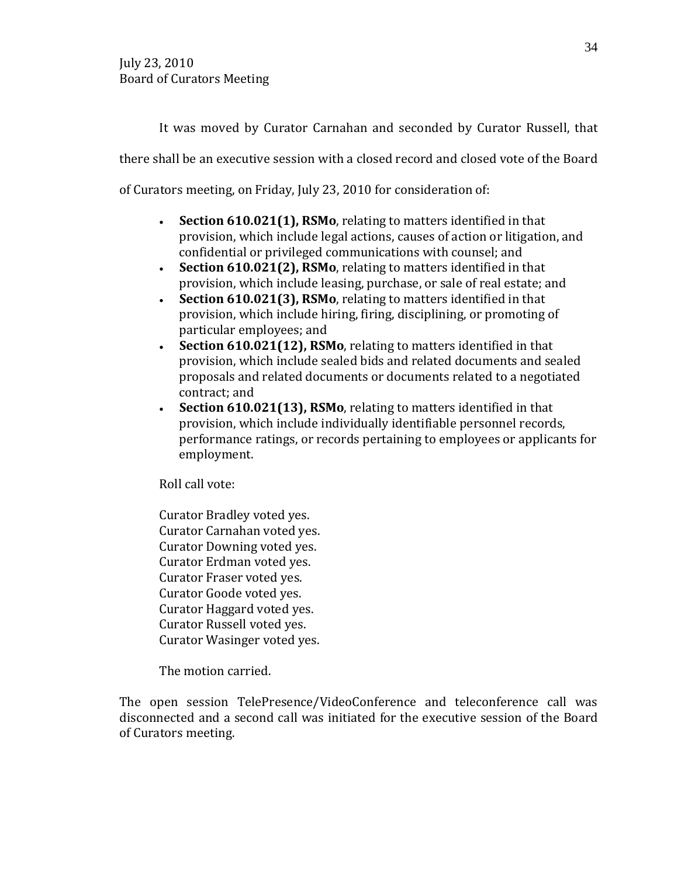It was moved by Curator Carnahan and seconded by Curator Russell, that

there shall be an executive session with a closed record and closed vote of the Board

of Curators meeting, on Friday, July 23, 2010 for consideration of:

- **Section 610.021(1), RSMo**, relating to matters identified in that provision, which include legal actions, causes of action or litigation, and confidential or privileged communications with counsel; and
- **Section 610.021(2), RSMo**, relating to matters identified in that provision, which include leasing, purchase, or sale of real estate; and
- **Section 610.021(3), RSMo**, relating to matters identified in that provision, which include hiring, firing, disciplining, or promoting of particular employees; and
- **Section 610.021(12), RSMo**, relating to matters identified in that provision, which include sealed bids and related documents and sealed proposals and related documents or documents related to a negotiated contract; and
- **Section 610.021(13), RSMo**, relating to matters identified in that provision, which include individually identifiable personnel records, performance ratings, or records pertaining to employees or applicants for employment.

Roll call vote:

Curator Bradley voted yes. Curator Carnahan voted yes. Curator Downing voted yes. Curator Erdman voted yes. Curator Fraser voted yes. Curator Goode voted yes. Curator Haggard voted yes. Curator Russell voted yes. Curator Wasinger voted yes.

The motion carried.

The open session TelePresence/VideoConference and teleconference call was disconnected and a second call was initiated for the executive session of the Board of Curators meeting.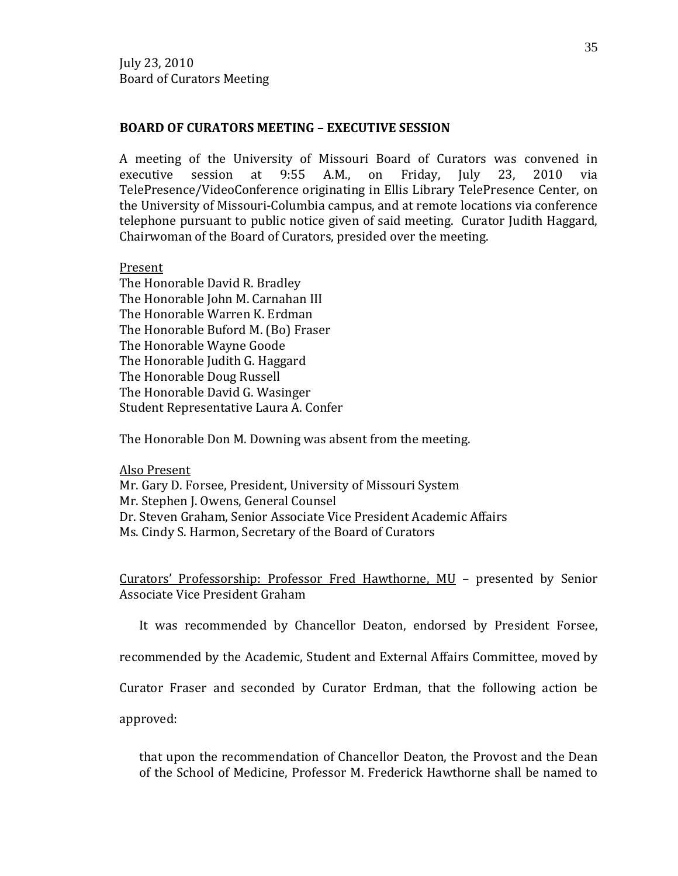## **BOARD OF CURATORS MEETING – EXECUTIVE SESSION**

A meeting of the University of Missouri Board of Curators was convened in executive session at 9:55 A.M., on Friday, July 23, 2010 via executive session at 9:55 A.M., on Friday, July 23, 2010 via TelePresence/VideoConference originating in Ellis Library TelePresence Center, on the University of Missouri-Columbia campus, and at remote locations via conference telephone pursuant to public notice given of said meeting. Curator Judith Haggard, Chairwoman of the Board of Curators, presided over the meeting.

Present

The Honorable David R. Bradley The Honorable John M. Carnahan III The Honorable Warren K. Erdman The Honorable Buford M. (Bo) Fraser The Honorable Wayne Goode The Honorable Judith G. Haggard The Honorable Doug Russell The Honorable David G. Wasinger Student Representative Laura A. Confer

The Honorable Don M. Downing was absent from the meeting.

Also Present

Mr. Gary D. Forsee, President, University of Missouri System Mr. Stephen J. Owens, General Counsel Dr. Steven Graham, Senior Associate Vice President Academic Affairs Ms. Cindy S. Harmon, Secretary of the Board of Curators

Curators' Professorship: Professor Fred Hawthorne, MU – presented by Senior Associate Vice President Graham

It was recommended by Chancellor Deaton, endorsed by President Forsee,

recommended by the Academic, Student and External Affairs Committee, moved by

Curator Fraser and seconded by Curator Erdman, that the following action be

approved:

that upon the recommendation of Chancellor Deaton, the Provost and the Dean of the School of Medicine, Professor M. Frederick Hawthorne shall be named to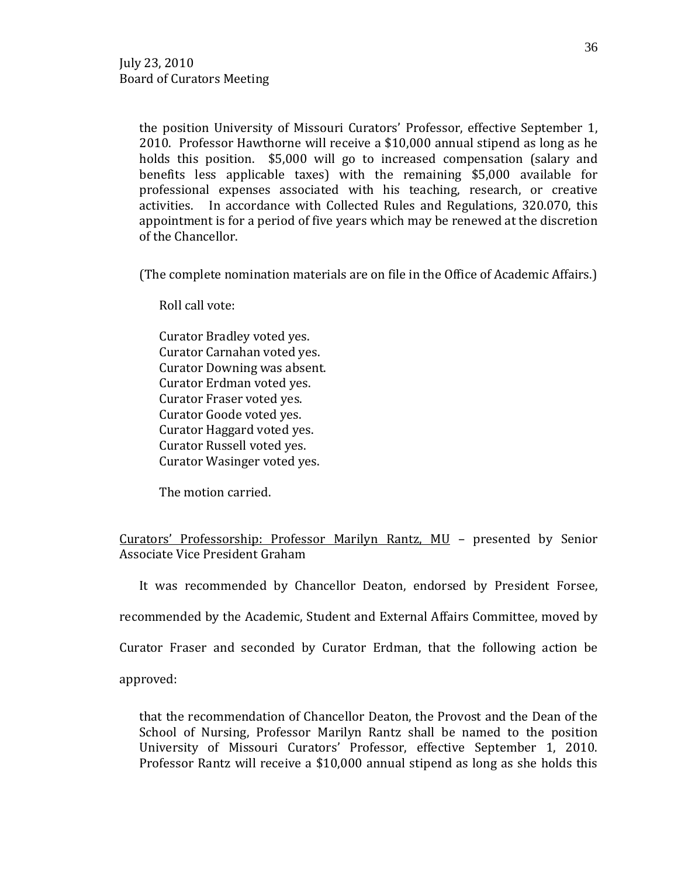the position University of Missouri Curators' Professor, effective September 1, 2010. Professor Hawthorne will receive a \$10,000 annual stipend as long as he holds this position. \$5,000 will go to increased compensation (salary and benefits less applicable taxes) with the remaining \$5,000 available for professional expenses associated with his teaching, research, or creative activities. In accordance with Collected Rules and Regulations, 320.070, this appointment is for a period of five years which may be renewed at the discretion of the Chancellor.

(The complete nomination materials are on file in the Office of Academic Affairs.)

Roll call vote:

Curator Bradley voted yes. Curator Carnahan voted yes. Curator Downing was absent. Curator Erdman voted yes. Curator Fraser voted yes. Curator Goode voted yes. Curator Haggard voted yes. Curator Russell voted yes. Curator Wasinger voted yes.

The motion carried.

Curators' Professorship: Professor Marilyn Rantz, MU – presented by Senior Associate Vice President Graham

It was recommended by Chancellor Deaton, endorsed by President Forsee,

recommended by the Academic, Student and External Affairs Committee, moved by

Curator Fraser and seconded by Curator Erdman, that the following action be

approved:

that the recommendation of Chancellor Deaton, the Provost and the Dean of the School of Nursing, Professor Marilyn Rantz shall be named to the position University of Missouri Curators' Professor, effective September 1, 2010. Professor Rantz will receive a \$10,000 annual stipend as long as she holds this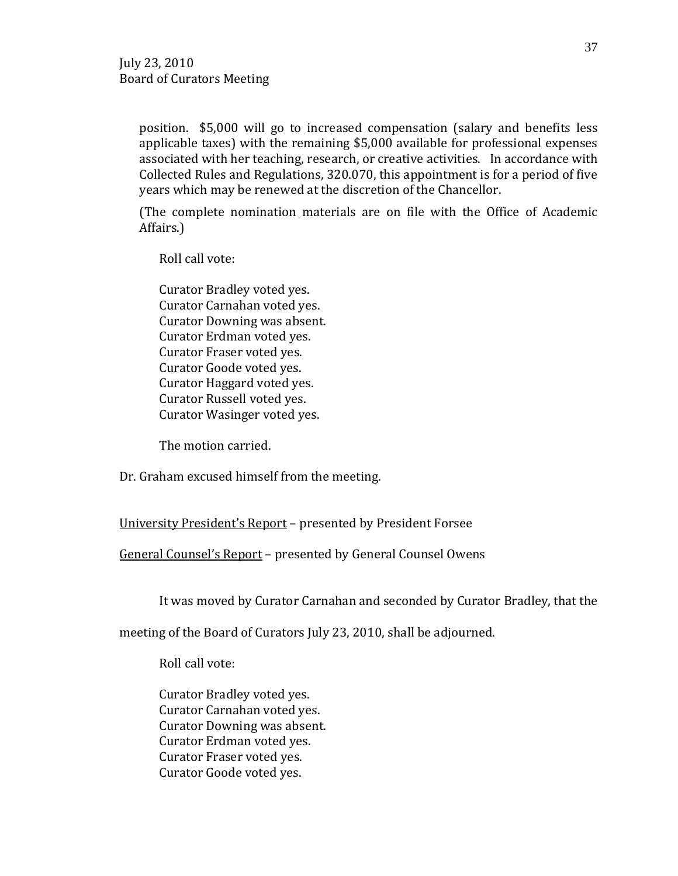position. \$5,000 will go to increased compensation (salary and benefits less applicable taxes) with the remaining \$5,000 available for professional expenses associated with her teaching, research, or creative activities. In accordance with Collected Rules and Regulations, 320.070, this appointment is for a period of five years which may be renewed at the discretion of the Chancellor.

(The complete nomination materials are on file with the Office of Academic Affairs.)

Roll call vote:

Curator Bradley voted yes. Curator Carnahan voted yes. Curator Downing was absent. Curator Erdman voted yes. Curator Fraser voted yes. Curator Goode voted yes. Curator Haggard voted yes. Curator Russell voted yes. Curator Wasinger voted yes.

The motion carried.

Dr. Graham excused himself from the meeting.

University President's Report – presented by President Forsee

General Counsel's Report – presented by General Counsel Owens

It was moved by Curator Carnahan and seconded by Curator Bradley, that the

meeting of the Board of Curators July 23, 2010, shall be adjourned.

Roll call vote:

Curator Bradley voted yes. Curator Carnahan voted yes. Curator Downing was absent. Curator Erdman voted yes. Curator Fraser voted yes. Curator Goode voted yes.